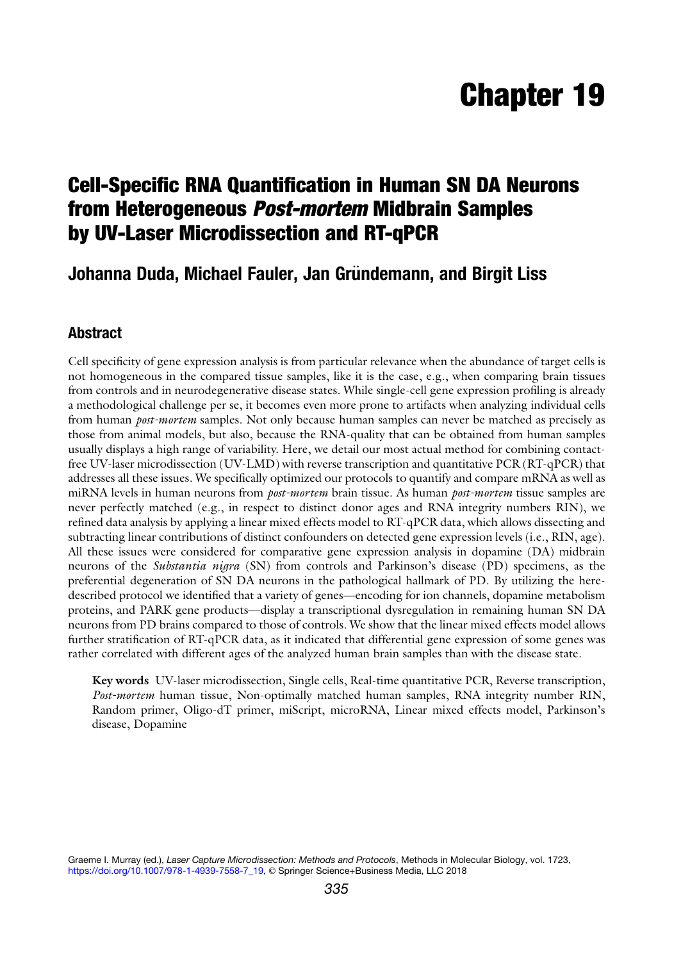# Chapter 19

## Cell-Specific RNA Quantification in Human SN DA Neurons from Heterogeneous Post-mortem Midbrain Samples by UV-Laser Microdissection and RT-qPCR

### Johanna Duda, Michael Fauler, Jan Gründemann, and Birgit Liss

#### Abstract

Cell specificity of gene expression analysis is from particular relevance when the abundance of target cells is not homogeneous in the compared tissue samples, like it is the case, e.g., when comparing brain tissues from controls and in neurodegenerative disease states. While single-cell gene expression profiling is already a methodological challenge per se, it becomes even more prone to artifacts when analyzing individual cells from human *post-mortem* samples. Not only because human samples can never be matched as precisely as those from animal models, but also, because the RNA-quality that can be obtained from human samples usually displays a high range of variability. Here, we detail our most actual method for combining contactfree UV-laser microdissection (UV-LMD) with reverse transcription and quantitative PCR (RT-qPCR) that addresses all these issues. We specifically optimized our protocols to quantify and compare mRNA as well as miRNA levels in human neurons from *post-mortem* brain tissue. As human *post-mortem* tissue samples are never perfectly matched (e.g., in respect to distinct donor ages and RNA integrity numbers RIN), we refined data analysis by applying a linear mixed effects model to RT-qPCR data, which allows dissecting and subtracting linear contributions of distinct confounders on detected gene expression levels (i.e., RIN, age). All these issues were considered for comparative gene expression analysis in dopamine (DA) midbrain neurons of the Substantia nigra (SN) from controls and Parkinson's disease (PD) specimens, as the preferential degeneration of SN DA neurons in the pathological hallmark of PD. By utilizing the heredescribed protocol we identified that a variety of genes—encoding for ion channels, dopamine metabolism proteins, and PARK gene products—display a transcriptional dysregulation in remaining human SN DA neurons from PD brains compared to those of controls. We show that the linear mixed effects model allows further stratification of RT-qPCR data, as it indicated that differential gene expression of some genes was rather correlated with different ages of the analyzed human brain samples than with the disease state.

Key words UV-laser microdissection, Single cells, Real-time quantitative PCR, Reverse transcription, Post-mortem human tissue, Non-optimally matched human samples, RNA integrity number RIN, Random primer, Oligo-dT primer, miScript, microRNA, Linear mixed effects model, Parkinson's disease, Dopamine

Graeme I. Murray (ed.), Laser Capture Microdissection: Methods and Protocols, Methods in Molecular Biology, vol. 1723, [https://doi.org/10.1007/978-1-4939-7558-7\\_19](https://doi.org/10.1007/978-1-4939-7558-7_19), © Springer Science+Business Media, LLC 2018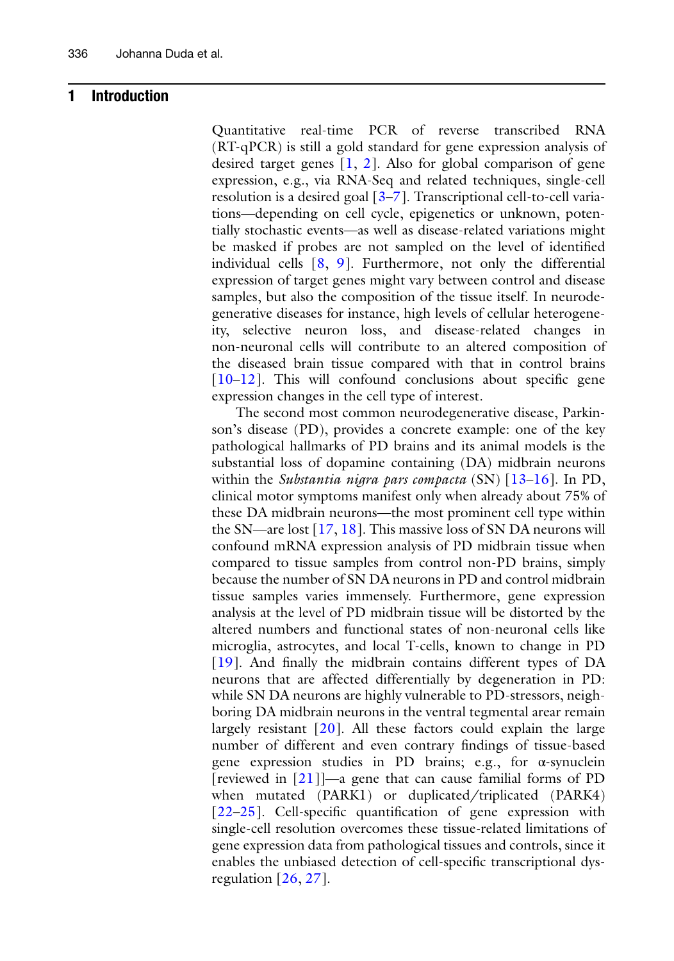#### 1 Introduction

Quantitative real-time PCR of reverse transcribed RNA (RT-qPCR) is still a gold standard for gene expression analysis of desired target genes  $[1, 2]$  $[1, 2]$  $[1, 2]$  $[1, 2]$  $[1, 2]$ . Also for global comparison of gene expression, e.g., via RNA-Seq and related techniques, single-cell resolution is a desired goal [\[3](#page-23-2)[–7](#page-23-3)]. Transcriptional cell-to-cell variations—depending on cell cycle, epigenetics or unknown, potentially stochastic events—as well as disease-related variations might be masked if probes are not sampled on the level of identified individual cells [\[8](#page-23-4), [9](#page-23-5)]. Furthermore, not only the differential expression of target genes might vary between control and disease samples, but also the composition of the tissue itself. In neurodegenerative diseases for instance, high levels of cellular heterogeneity, selective neuron loss, and disease-related changes in non-neuronal cells will contribute to an altered composition of the diseased brain tissue compared with that in control brains [[10–](#page-23-6)[12\]](#page-23-7). This will confound conclusions about specific gene expression changes in the cell type of interest.

The second most common neurodegenerative disease, Parkinson's disease (PD), provides a concrete example: one of the key pathological hallmarks of PD brains and its animal models is the substantial loss of dopamine containing (DA) midbrain neurons within the Substantia nigra pars compacta  $(SN)$   $[13-16]$  $[13-16]$  $[13-16]$  $[13-16]$  $[13-16]$ . In PD, clinical motor symptoms manifest only when already about 75% of these DA midbrain neurons—the most prominent cell type within the SN—are lost [\[17](#page-23-0), [18](#page-23-1)]. This massive loss of SN DA neurons will confound mRNA expression analysis of PD midbrain tissue when compared to tissue samples from control non-PD brains, simply because the number of SN DA neurons in PD and control midbrain tissue samples varies immensely. Furthermore, gene expression analysis at the level of PD midbrain tissue will be distorted by the altered numbers and functional states of non-neuronal cells like microglia, astrocytes, and local T-cells, known to change in PD [[19\]](#page-23-10). And finally the midbrain contains different types of DA neurons that are affected differentially by degeneration in PD: while SN DA neurons are highly vulnerable to PD-stressors, neighboring DA midbrain neurons in the ventral tegmental arear remain largely resistant [\[20](#page-23-11)]. All these factors could explain the large number of different and even contrary findings of tissue-based gene expression studies in PD brains; e.g., for α-synuclein [reviewed in [[21](#page-23-12)]]—a gene that can cause familial forms of PD when mutated (PARK1) or duplicated/triplicated (PARK4) [[22–](#page-23-13)[25\]](#page-23-14). Cell-specific quantification of gene expression with single-cell resolution overcomes these tissue-related limitations of gene expression data from pathological tissues and controls, since it enables the unbiased detection of cell-specific transcriptional dysregulation  $[26, 27]$  $[26, 27]$  $[26, 27]$ .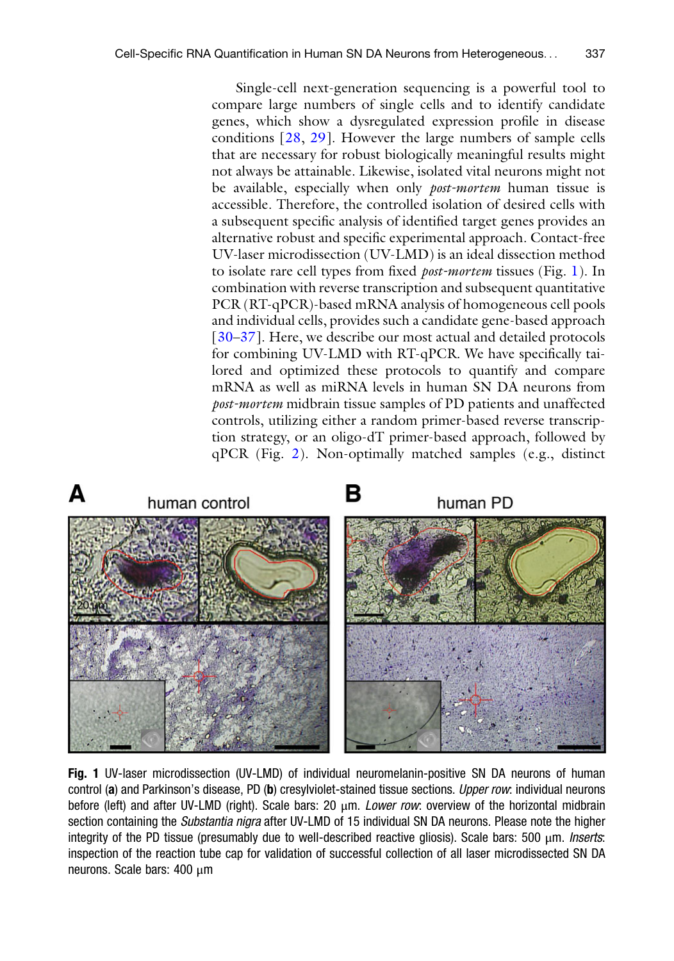Single-cell next-generation sequencing is a powerful tool to compare large numbers of single cells and to identify candidate genes, which show a dysregulated expression profile in disease conditions [[28,](#page-23-17) [29](#page-23-18)]. However the large numbers of sample cells that are necessary for robust biologically meaningful results might not always be attainable. Likewise, isolated vital neurons might not be available, especially when only *post-mortem* human tissue is accessible. Therefore, the controlled isolation of desired cells with a subsequent specific analysis of identified target genes provides an alternative robust and specific experimental approach. Contact-free UV-laser microdissection (UV-LMD) is an ideal dissection method to isolate rare cell types from fixed post-mortem tissues (Fig. [1\)](#page-3-0). In combination with reverse transcription and subsequent quantitative PCR (RT-qPCR)-based mRNA analysis of homogeneous cell pools and individual cells, provides such a candidate gene-based approach [[30–](#page-23-19)[37\]](#page-24-0). Here, we describe our most actual and detailed protocols for combining UV-LMD with RT-qPCR. We have specifically tailored and optimized these protocols to quantify and compare mRNA as well as miRNA levels in human SN DA neurons from post-mortem midbrain tissue samples of PD patients and unaffected controls, utilizing either a random primer-based reverse transcription strategy, or an oligo-dT primer-based approach, followed by qPCR (Fig. [2\)](#page-2-0). Non-optimally matched samples (e.g., distinct

<span id="page-2-0"></span>

Fig. 1 UV-laser microdissection (UV-LMD) of individual neuromelanin-positive SN DA neurons of human control (a) and Parkinson's disease, PD (b) cresylviolet-stained tissue sections. Upper row: individual neurons before (left) and after UV-LMD (right). Scale bars: 20 μm. Lower row: overview of the horizontal midbrain section containing the Substantia nigra after UV-LMD of 15 individual SN DA neurons. Please note the higher integrity of the PD tissue (presumably due to well-described reactive gliosis). Scale bars: 500 μm. Inserts: inspection of the reaction tube cap for validation of successful collection of all laser microdissected SN DA neurons. Scale bars: 400 μm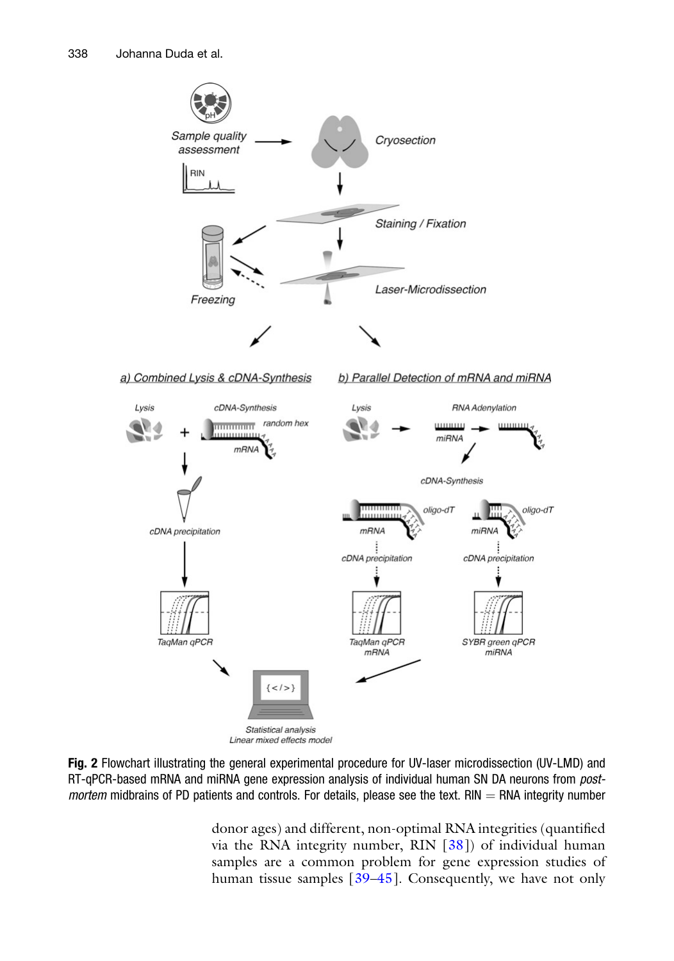<span id="page-3-0"></span>

Fig. 2 Flowchart illustrating the general experimental procedure for UV-laser microdissection (UV-LMD) and RT-qPCR-based mRNA and miRNA gene expression analysis of individual human SN DA neurons from postmortem midbrains of PD patients and controls. For details, please see the text. RIN  $=$  RNA integrity number

donor ages) and different, non-optimal RNA integrities (quantified via the RNA integrity number, RIN [[38\]](#page-24-1)) of individual human samples are a common problem for gene expression studies of human tissue samples [[39](#page-24-2)–[45](#page-24-3)]. Consequently, we have not only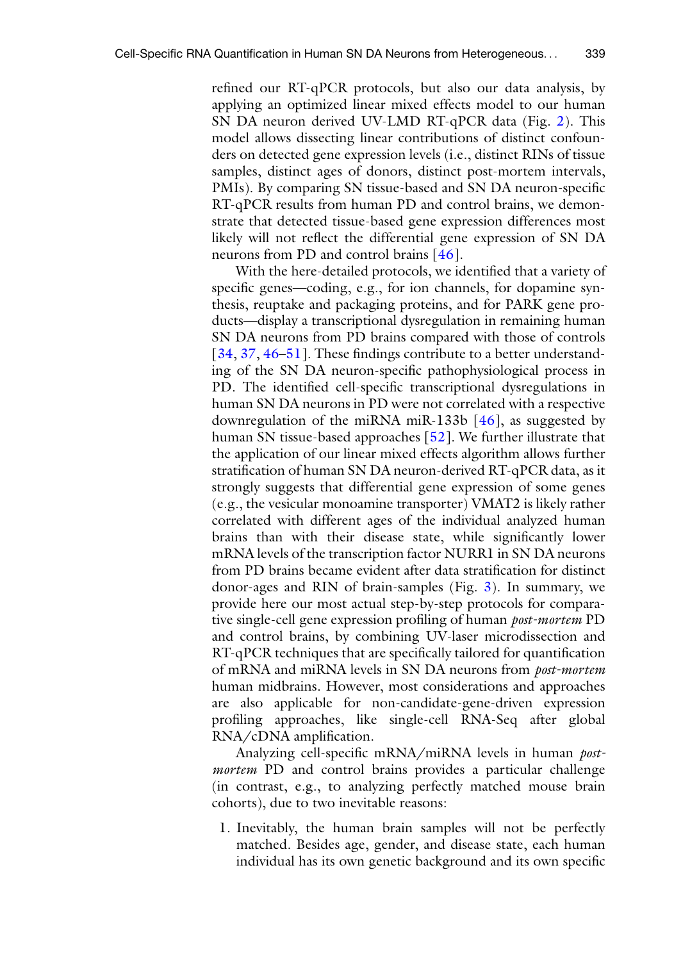refined our RT-qPCR protocols, but also our data analysis, by applying an optimized linear mixed effects model to our human SN DA neuron derived UV-LMD RT-qPCR data (Fig. [2\)](#page-2-0). This model allows dissecting linear contributions of distinct confounders on detected gene expression levels (i.e., distinct RINs of tissue samples, distinct ages of donors, distinct post-mortem intervals, PMIs). By comparing SN tissue-based and SN DA neuron-specific RT-qPCR results from human PD and control brains, we demonstrate that detected tissue-based gene expression differences most likely will not reflect the differential gene expression of SN DA neurons from PD and control brains [\[46](#page-24-4)].

With the here-detailed protocols, we identified that a variety of specific genes—coding, e.g., for ion channels, for dopamine synthesis, reuptake and packaging proteins, and for PARK gene products—display a transcriptional dysregulation in remaining human SN DA neurons from PD brains compared with those of controls [[34,](#page-24-4) [37,](#page-24-0) [46](#page-24-4)[–51](#page-24-5)]. These findings contribute to a better understanding of the SN DA neuron-specific pathophysiological process in PD. The identified cell-specific transcriptional dysregulations in human SN DA neurons in PD were not correlated with a respective downregulation of the miRNA miR-133b [[46\]](#page-24-4), as suggested by human SN tissue-based approaches [\[52\]](#page-24-6). We further illustrate that the application of our linear mixed effects algorithm allows further stratification of human SN DA neuron-derived RT-qPCR data, as it strongly suggests that differential gene expression of some genes (e.g., the vesicular monoamine transporter) VMAT2 is likely rather correlated with different ages of the individual analyzed human brains than with their disease state, while significantly lower mRNA levels of the transcription factor NURR1 in SN DA neurons from PD brains became evident after data stratification for distinct donor-ages and RIN of brain-samples (Fig. [3](#page-7-0)). In summary, we provide here our most actual step-by-step protocols for comparative single-cell gene expression profiling of human post-mortem PD and control brains, by combining UV-laser microdissection and RT-qPCR techniques that are specifically tailored for quantification of mRNA and miRNA levels in SN DA neurons from *post-mortem* human midbrains. However, most considerations and approaches are also applicable for non-candidate-gene-driven expression profiling approaches, like single-cell RNA-Seq after global RNA/cDNA amplification.

Analyzing cell-specific mRNA/miRNA levels in human postmortem PD and control brains provides a particular challenge (in contrast, e.g., to analyzing perfectly matched mouse brain cohorts), due to two inevitable reasons:

1. Inevitably, the human brain samples will not be perfectly matched. Besides age, gender, and disease state, each human individual has its own genetic background and its own specific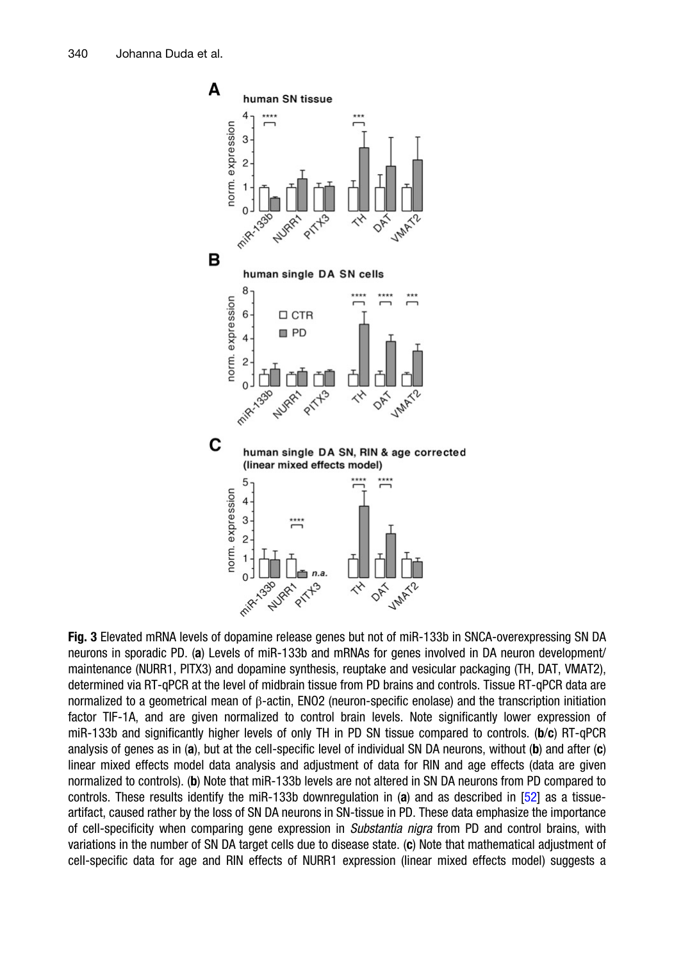<span id="page-5-0"></span>

Fig. 3 Elevated mRNA levels of dopamine release genes but not of miR-133b in SNCA-overexpressing SN DA neurons in sporadic PD. (a) Levels of miR-133b and mRNAs for genes involved in DA neuron development/ maintenance (NURR1, PITX3) and dopamine synthesis, reuptake and vesicular packaging (TH, DAT, VMAT2), determined via RT-qPCR at the level of midbrain tissue from PD brains and controls. Tissue RT-qPCR data are normalized to a geometrical mean of β-actin, ENO2 (neuron-specific enolase) and the transcription initiation factor TIF-1A, and are given normalized to control brain levels. Note significantly lower expression of miR-133b and significantly higher levels of only TH in PD SN tissue compared to controls. (b/c) RT-qPCR analysis of genes as in (a), but at the cell-specific level of individual SN DA neurons, without (b) and after (c) linear mixed effects model data analysis and adjustment of data for RIN and age effects (data are given normalized to controls). (b) Note that miR-133b levels are not altered in SN DA neurons from PD compared to controls. These results identify the miR-133b downregulation in (a) and as described in [[52](#page-24-6)] as a tissueartifact, caused rather by the loss of SN DA neurons in SN-tissue in PD. These data emphasize the importance of cell-specificity when comparing gene expression in Substantia nigra from PD and control brains, with variations in the number of SN DA target cells due to disease state. (c) Note that mathematical adjustment of cell-specific data for age and RIN effects of NURR1 expression (linear mixed effects model) suggests a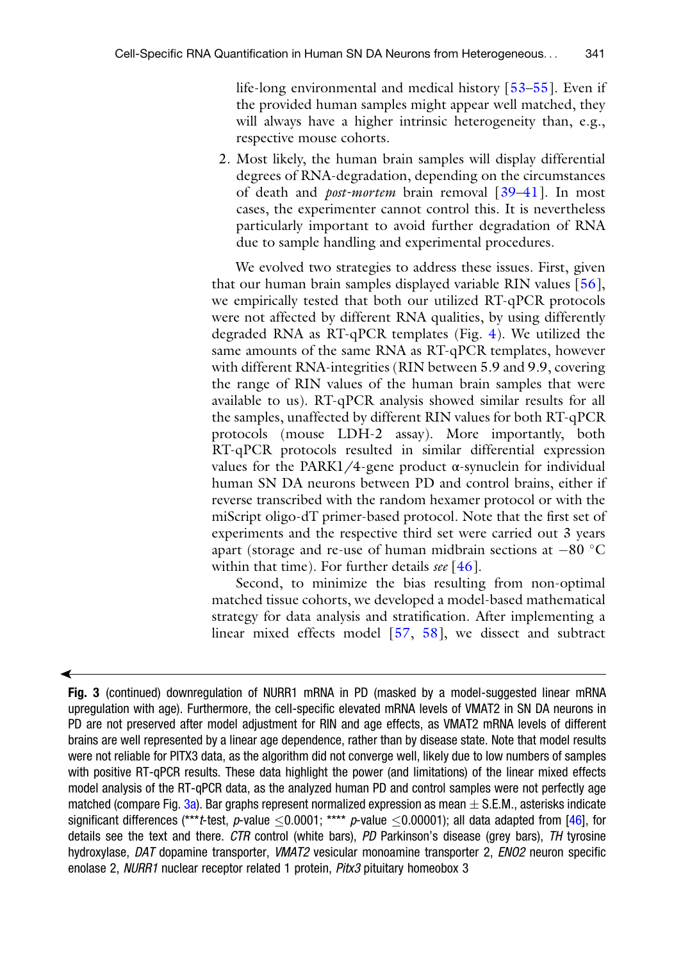life-long environmental and medical history [\[53](#page-24-7)[–55\]](#page-24-8). Even if the provided human samples might appear well matched, they will always have a higher intrinsic heterogeneity than, e.g., respective mouse cohorts.

2. Most likely, the human brain samples will display differential degrees of RNA-degradation, depending on the circumstances of death and *post-mortem* brain removal [39-[41\]](#page-24-9). In most cases, the experimenter cannot control this. It is nevertheless particularly important to avoid further degradation of RNA due to sample handling and experimental procedures.

We evolved two strategies to address these issues. First, given that our human brain samples displayed variable RIN values  $[56]$  $[56]$  $[56]$ , we empirically tested that both our utilized RT-qPCR protocols were not affected by different RNA qualities, by using differently degraded RNA as RT-qPCR templates (Fig. [4\)](#page-5-0). We utilized the same amounts of the same RNA as RT-qPCR templates, however with different RNA-integrities (RIN between 5.9 and 9.9, covering the range of RIN values of the human brain samples that were available to us). RT-qPCR analysis showed similar results for all the samples, unaffected by different RIN values for both RT-qPCR protocols (mouse LDH-2 assay). More importantly, both RT-qPCR protocols resulted in similar differential expression values for the PARK1/4-gene product  $\alpha$ -synuclein for individual human SN DA neurons between PD and control brains, either if reverse transcribed with the random hexamer protocol or with the miScript oligo-dT primer-based protocol. Note that the first set of experiments and the respective third set were carried out 3 years apart (storage and re-use of human midbrain sections at  $-80$  °C within that time). For further details  $\text{see}$  [\[46](#page-24-4)].

Second, to minimize the bias resulting from non-optimal matched tissue cohorts, we developed a model-based mathematical strategy for data analysis and stratification. After implementing a linear mixed effects model [[57](#page-25-0), [58](#page-25-1)], we dissect and subtract

◀

Fig. 3 (continued) downregulation of NURR1 mRNA in PD (masked by a model-suggested linear mRNA upregulation with age). Furthermore, the cell-specific elevated mRNA levels of VMAT2 in SN DA neurons in PD are not preserved after model adjustment for RIN and age effects, as VMAT2 mRNA levels of different brains are well represented by a linear age dependence, rather than by disease state. Note that model results were not reliable for PITX3 data, as the algorithm did not converge well, likely due to low numbers of samples with positive RT-qPCR results. These data highlight the power (and limitations) of the linear mixed effects model analysis of the RT-qPCR data, as the analyzed human PD and control samples were not perfectly age matched (compare Fig. [3a](#page-7-0)). Bar graphs represent normalized expression as mean  $\pm$  S.E.M., asterisks indicate significant differences (\*\*\*t-test, p-value  $\leq$ 0.0001; \*\*\*\* p-value  $\leq$ 0.00001); all data adapted from [\[46](#page-24-4)], for details see the text and there. CTR control (white bars), PD Parkinson's disease (grey bars), TH tyrosine hydroxylase, DAT dopamine transporter, VMAT2 vesicular monoamine transporter 2, ENO2 neuron specific enolase 2, NURR1 nuclear receptor related 1 protein, Pitx3 pituitary homeobox 3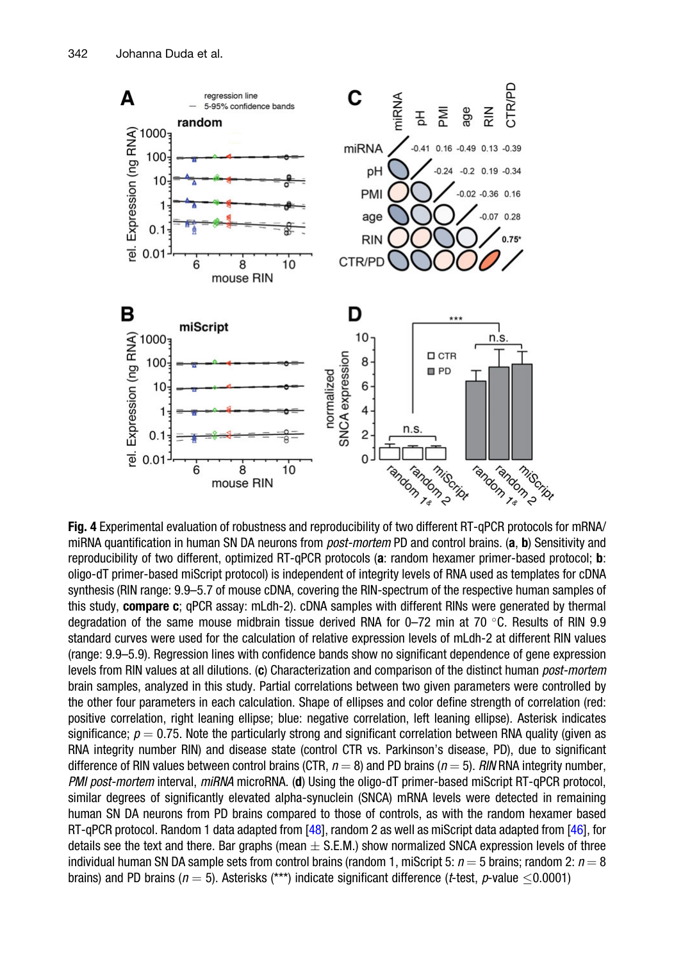<span id="page-7-0"></span>

Fig. 4 Experimental evaluation of robustness and reproducibility of two different RT-qPCR protocols for mRNA/ miRNA quantification in human SN DA neurons from *post-mortem* PD and control brains. (a, b) Sensitivity and reproducibility of two different, optimized RT-qPCR protocols (a: random hexamer primer-based protocol; b: oligo-dT primer-based miScript protocol) is independent of integrity levels of RNA used as templates for cDNA synthesis (RIN range: 9.9–5.7 of mouse cDNA, covering the RIN-spectrum of the respective human samples of this study, compare c; qPCR assay: mLdh-2). cDNA samples with different RINs were generated by thermal degradation of the same mouse midbrain tissue derived RNA for 0–72 min at 70 °C. Results of RIN 9.9 standard curves were used for the calculation of relative expression levels of mLdh-2 at different RIN values (range: 9.9–5.9). Regression lines with confidence bands show no significant dependence of gene expression levels from RIN values at all dilutions. (c) Characterization and comparison of the distinct human *post-mortem* brain samples, analyzed in this study. Partial correlations between two given parameters were controlled by the other four parameters in each calculation. Shape of ellipses and color define strength of correlation (red: positive correlation, right leaning ellipse; blue: negative correlation, left leaning ellipse). Asterisk indicates significance;  $p = 0.75$ . Note the particularly strong and significant correlation between RNA quality (given as RNA integrity number RIN) and disease state (control CTR vs. Parkinson's disease, PD), due to significant difference of RIN values between control brains (CTR,  $n = 8$ ) and PD brains ( $n = 5$ ). RIN RNA integrity number, PMI post-mortem interval, miRNA microRNA. (d) Using the oligo-dT primer-based miScript RT-qPCR protocol, similar degrees of significantly elevated alpha-synuclein (SNCA) mRNA levels were detected in remaining human SN DA neurons from PD brains compared to those of controls, as with the random hexamer based RT-qPCR protocol. Random 1 data adapted from [\[48\]](#page-24-11), random 2 as well as miScript data adapted from [[46](#page-24-4)], for details see the text and there. Bar graphs (mean  $\pm$  S.E.M.) show normalized SNCA expression levels of three individual human SN DA sample sets from control brains (random 1, miScript 5:  $n = 5$  brains; random 2:  $n = 8$ brains) and PD brains ( $n = 5$ ). Asterisks (\*\*\*) indicate significant difference (t-test, p-value  $\leq 0.0001$ )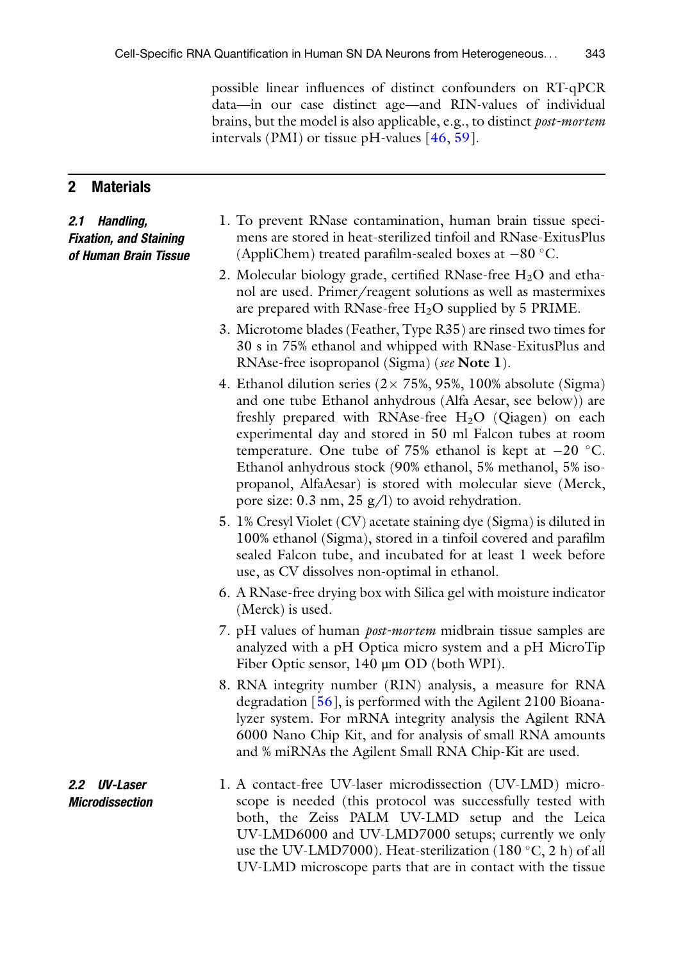possible linear influences of distinct confounders on RT-qPCR data—in our case distinct age—and RIN-values of individual brains, but the model is also applicable, e.g., to distinct post-mortem intervals (PMI) or tissue pH-values  $[46, 59]$  $[46, 59]$  $[46, 59]$  $[46, 59]$  $[46, 59]$ .

#### 2 Materials

2.1 Handling, Fixation, and Staining of Human Brain Tissue

- 1. To prevent RNase contamination, human brain tissue specimens are stored in heat-sterilized tinfoil and RNase-ExitusPlus (AppliChem) treated parafilm-sealed boxes at  $-80$  °C.
- 2. Molecular biology grade, certified RNase-free  $H_2O$  and ethanol are used. Primer/reagent solutions as well as mastermixes are prepared with RNase-free  $H_2O$  supplied by 5 PRIME.
- 3. Microtome blades (Feather, Type R35) are rinsed two times for 30 s in 75% ethanol and whipped with RNase-ExitusPlus and RNAse-free isopropanol (Sigma) (see Note 1).
- 4. Ethanol dilution series  $(2 \times 75\%, 95\%, 100\%$  absolute (Sigma) and one tube Ethanol anhydrous (Alfa Aesar, see below)) are freshly prepared with RNAse-free  $H_2O$  (Qiagen) on each experimental day and stored in 50 ml Falcon tubes at room temperature. One tube of 75% ethanol is kept at  $-20$  °C. Ethanol anhydrous stock (90% ethanol, 5% methanol, 5% isopropanol, AlfaAesar) is stored with molecular sieve (Merck, pore size: 0.3 nm, 25 g/l) to avoid rehydration.
- 5. 1% Cresyl Violet (CV) acetate staining dye (Sigma) is diluted in 100% ethanol (Sigma), stored in a tinfoil covered and parafilm sealed Falcon tube, and incubated for at least 1 week before use, as CV dissolves non-optimal in ethanol.
- 6. A RNase-free drying box with Silica gel with moisture indicator (Merck) is used.
- 7. pH values of human *post-mortem* midbrain tissue samples are analyzed with a pH Optica micro system and a pH MicroTip Fiber Optic sensor, 140 μm OD (both WPI).
- 8. RNA integrity number (RIN) analysis, a measure for RNA degradation [\[56](#page-24-10)], is performed with the Agilent 2100 Bioanalyzer system. For mRNA integrity analysis the Agilent RNA 6000 Nano Chip Kit, and for analysis of small RNA amounts and % miRNAs the Agilent Small RNA Chip-Kit are used.
- 2.2 UV-Laser Microdissection 1. A contact-free UV-laser microdissection (UV-LMD) microscope is needed (this protocol was successfully tested with both, the Zeiss PALM UV-LMD setup and the Leica UV-LMD6000 and UV-LMD7000 setups; currently we only use the UV-LMD7000). Heat-sterilization  $(180 °C, 2 h)$  of all UV-LMD microscope parts that are in contact with the tissue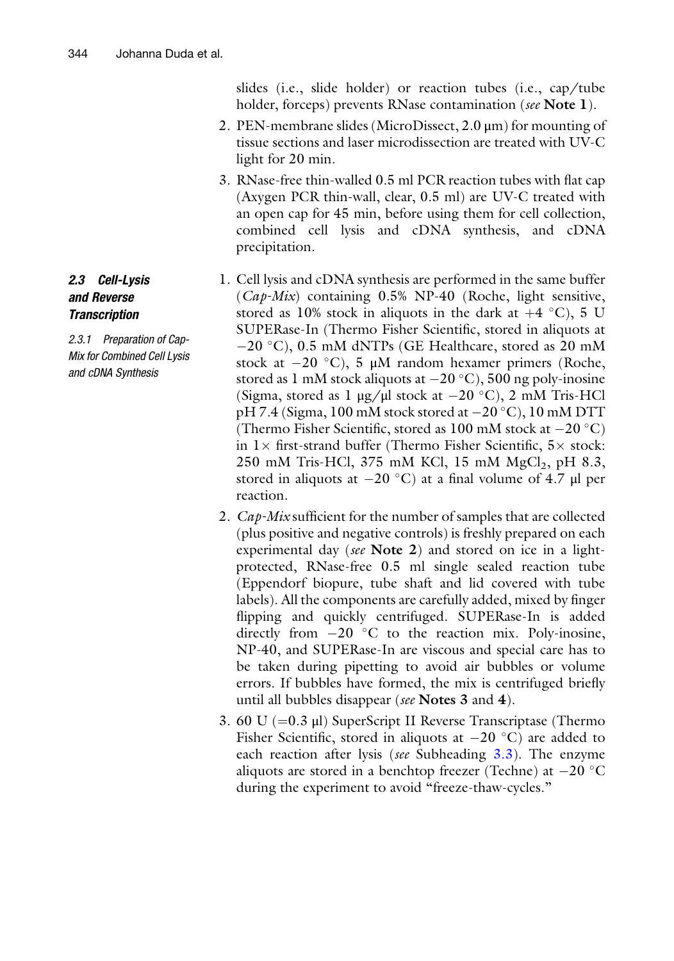slides (i.e., slide holder) or reaction tubes (i.e., cap/tube holder, forceps) prevents RNase contamination (see Note 1).

- 2. PEN-membrane slides (MicroDissect, 2.0 μm) for mounting of tissue sections and laser microdissection are treated with UV-C light for 20 min.
- 3. RNase-free thin-walled 0.5 ml PCR reaction tubes with flat cap (Axygen PCR thin-wall, clear, 0.5 ml) are UV-C treated with an open cap for 45 min, before using them for cell collection, combined cell lysis and cDNA synthesis, and cDNA precipitation.
- 1. Cell lysis and cDNA synthesis are performed in the same buffer  $(Cap-Mix)$  containing 0.5% NP-40 (Roche, light sensitive, stored as 10% stock in aliquots in the dark at  $+4$  °C), 5 U SUPERase-In (Thermo Fisher Scientific, stored in aliquots at  $-20$  °C), 0.5 mM dNTPs (GE Healthcare, stored as 20 mM stock at  $-20$  °C), 5  $\mu$ M random hexamer primers (Roche, stored as 1 mM stock aliquots at  $-20\degree C$ ), 500 ng poly-inosine (Sigma, stored as 1  $\mu$ g/ $\mu$ l stock at -20 °C), 2 mM Tris-HCl pH 7.4 (Sigma,  $100 \text{ mM}$  stock stored at  $-20 \degree \text{C}$ ),  $10 \text{ mM}$  DTT (Thermo Fisher Scientific, stored as  $100 \text{ mM}$  stock at  $-20 \text{ }^{\circ}\text{C}$ ) in  $1 \times$  first-strand buffer (Thermo Fisher Scientific,  $5 \times$  stock: 250 mM Tris-HCl, 375 mM KCl, 15 mM  $MgCl<sub>2</sub>$ , pH 8.3, stored in aliquots at  $-20$  °C) at a final volume of 4.7  $\mu$ l per reaction.
- 2. Cap-Mix sufficient for the number of samples that are collected (plus positive and negative controls) is freshly prepared on each experimental day (see Note 2) and stored on ice in a lightprotected, RNase-free 0.5 ml single sealed reaction tube (Eppendorf biopure, tube shaft and lid covered with tube labels). All the components are carefully added, mixed by finger flipping and quickly centrifuged. SUPERase-In is added directly from  $-20$  °C to the reaction mix. Poly-inosine, NP-40, and SUPERase-In are viscous and special care has to be taken during pipetting to avoid air bubbles or volume errors. If bubbles have formed, the mix is centrifuged briefly until all bubbles disappear (see Notes 3 and 4).
- 3. 60 U ( $=0.3$   $\mu$ ) SuperScript II Reverse Transcriptase (Thermo Fisher Scientific, stored in aliquots at  $-20\degree C$ ) are added to each reaction after lysis (see Subheading [3.3](#page-13-0)). The enzyme aliquots are stored in a benchtop freezer (Techne) at  $-20$  °C during the experiment to avoid "freeze-thaw-cycles."

#### 2.3 Cell-Lysis and Reverse **Transcription**

2.3.1 Preparation of Cap-Mix for Combined Cell Lysis and cDNA Synthesis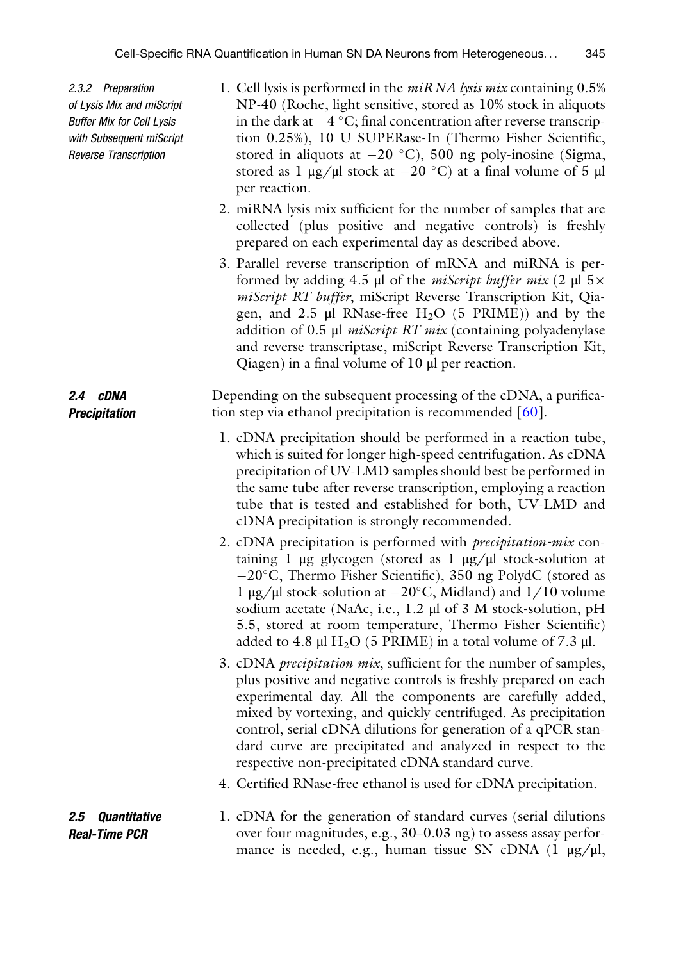2.3.2 Preparation of Lysis Mix and miScript Buffer Mix for Cell Lysis with Subsequent miScript Reverse Transcription

2.4 cDNA Precipitation

- 1. Cell lysis is performed in the *miRNA lysis mix* containing 0.5% NP-40 (Roche, light sensitive, stored as 10% stock in aliquots in the dark at  $+4 \degree C$ ; final concentration after reverse transcription 0.25%), 10 U SUPERase-In (Thermo Fisher Scientific, stored in aliquots at  $-20$  °C), 500 ng poly-inosine (Sigma, stored as 1  $\mu$ g/ $\mu$ l stock at  $-20$  °C) at a final volume of 5  $\mu$ l per reaction.
- 2. miRNA lysis mix sufficient for the number of samples that are collected (plus positive and negative controls) is freshly prepared on each experimental day as described above.
- 3. Parallel reverse transcription of mRNA and miRNA is performed by adding 4.5 μl of the *miScript buffer mix* (2 μl  $5 \times$ miScript RT buffer, miScript Reverse Transcription Kit, Qiagen, and  $2.5$  µl RNase-free H<sub>2</sub>O (5 PRIME)) and by the addition of 0.5 μl miScript RT mix (containing polyadenylase and reverse transcriptase, miScript Reverse Transcription Kit, Qiagen) in a final volume of 10 μl per reaction.

Depending on the subsequent processing of the cDNA, a purification step via ethanol precipitation is recommended [\[60](#page-25-3)].

- 1. cDNA precipitation should be performed in a reaction tube, which is suited for longer high-speed centrifugation. As cDNA precipitation of UV-LMD samples should best be performed in the same tube after reverse transcription, employing a reaction tube that is tested and established for both, UV-LMD and cDNA precipitation is strongly recommended.
- 2. cDNA precipitation is performed with precipitation-mix containing 1 μg glycogen (stored as 1 μg/μl stock-solution at -20°C, Thermo Fisher Scientific), 350 ng PolydC (stored as l μg/μl stock-solution at  $-20^{\circ}$ C, Midland) and  $1/10$  volume sodium acetate (NaAc, i.e., 1.2 μl of 3 M stock-solution, pH 5.5, stored at room temperature, Thermo Fisher Scientific) added to 4.8 μl  $H_2O$  (5 PRIME) in a total volume of 7.3 μl.
- 3. cDNA *precipitation mix*, sufficient for the number of samples, plus positive and negative controls is freshly prepared on each experimental day. All the components are carefully added, mixed by vortexing, and quickly centrifuged. As precipitation control, serial cDNA dilutions for generation of a qPCR standard curve are precipitated and analyzed in respect to the respective non-precipitated cDNA standard curve.
- 4. Certified RNase-free ethanol is used for cDNA precipitation.
- <span id="page-10-0"></span>2.5 Quantitative Real-Time PCR 1. cDNA for the generation of standard curves (serial dilutions over four magnitudes, e.g., 30–0.03 ng) to assess assay performance is needed, e.g., human tissue SN cDNA  $(1 \mu g/\mu l,$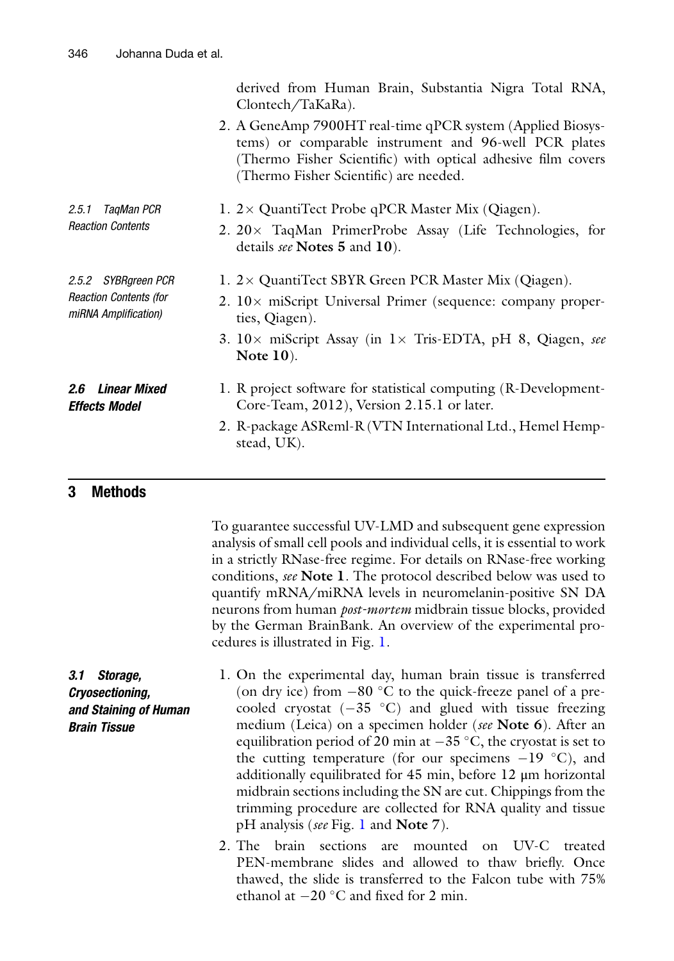<span id="page-11-0"></span>

|                                                                              | derived from Human Brain, Substantia Nigra Total RNA,<br>Clontech/TaKaRa).                                                                                                                                                    |
|------------------------------------------------------------------------------|-------------------------------------------------------------------------------------------------------------------------------------------------------------------------------------------------------------------------------|
|                                                                              | 2. A GeneAmp 7900HT real-time qPCR system (Applied Biosys-<br>tems) or comparable instrument and 96-well PCR plates<br>(Thermo Fisher Scientific) with optical adhesive film covers<br>(Thermo Fisher Scientific) are needed. |
| 2.5.1<br>TaqMan PCR<br><b>Reaction Contents</b>                              | 1. $2 \times$ QuantiTect Probe qPCR Master Mix (Qiagen).                                                                                                                                                                      |
|                                                                              | 2. $20 \times$ TaqMan PrimerProbe Assay (Life Technologies, for<br>details see Notes 5 and 10).                                                                                                                               |
| 2.5.2 SYBRgreen PCR<br><b>Reaction Contents (for</b><br>miRNA Amplification) | 1. 2× QuantiTect SBYR Green PCR Master Mix (Qiagen).                                                                                                                                                                          |
|                                                                              | 2. $10\times$ miScript Universal Primer (sequence: company proper-<br>ties, Qiagen).                                                                                                                                          |
|                                                                              | 3. $10\times$ miScript Assay (in $1\times$ Tris-EDTA, pH 8, Qiagen, see<br>Note $10$ ).                                                                                                                                       |
| <i><b>2.6 Linear Mixed</b></i><br>Effects Model                              | 1. R project software for statistical computing (R-Development-<br>Core-Team, 2012), Version 2.15.1 or later.                                                                                                                 |
|                                                                              | 2. R-package ASReml-R (VTN International Ltd., Hemel Hemp-<br>stead, UK).                                                                                                                                                     |

#### 3 Methods

To guarantee successful UV-LMD and subsequent gene expression analysis of small cell pools and individual cells, it is essential to work in a strictly RNase-free regime. For details on RNase-free working conditions, see Note 1. The protocol described below was used to quantify mRNA/miRNA levels in neuromelanin-positive SN DA neurons from human *post-mortem* midbrain tissue blocks, provided by the German BrainBank. An overview of the experimental procedures is illustrated in Fig. [1](#page-3-0).

derived from Human Brain, Substantia Nigra Total RNA,

3.1 Storage, Cryosectioning, and Staining of Human Brain Tissue

1. On the experimental day, human brain tissue is transferred (on dry ice) from  $-80$  °C to the quick-freeze panel of a precooled cryostat  $(-35 \degree C)$  and glued with tissue freezing medium (Leica) on a specimen holder (see **Note 6**). After an equilibration period of 20 min at  $-35\,^{\circ}\text{C}$ , the cryostat is set to the cutting temperature (for our specimens  $-19$  °C), and additionally equilibrated for 45 min, before 12 μm horizontal midbrain sections including the SN are cut. Chippings from the trimming procedure are collected for RNA quality and tissue pH analysis (see Fig. [1](#page-3-0) and Note 7).

2. The brain sections are mounted on UV-C treated PEN-membrane slides and allowed to thaw briefly. Once thawed, the slide is transferred to the Falcon tube with 75% ethanol at  $-20$  °C and fixed for 2 min.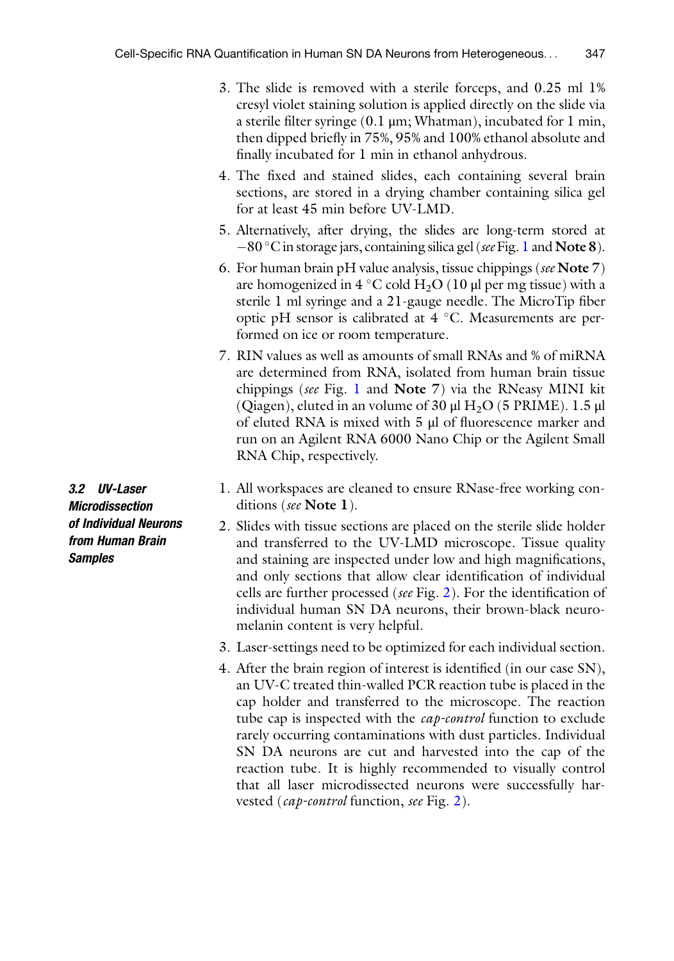- 3. The slide is removed with a sterile forceps, and 0.25 ml 1% cresyl violet staining solution is applied directly on the slide via a sterile filter syringe (0.1 μm; Whatman), incubated for 1 min, then dipped briefly in 75%, 95% and 100% ethanol absolute and finally incubated for 1 min in ethanol anhydrous.
- 4. The fixed and stained slides, each containing several brain sections, are stored in a drying chamber containing silica gel for at least 45 min before UV-LMD.
- 5. Alternatively, after drying, the slides are long-term stored at -80 °C in storage jars, containing silica gel (see Fig. [1](#page-3-0) and Note 8).
- 6. For human brain pH value analysis, tissue chippings (see Note  $7$ ) are homogenized in 4 °C cold  $H_2O$  (10 µl per mg tissue) with a sterile 1 ml syringe and a 21-gauge needle. The MicroTip fiber optic pH sensor is calibrated at  $4^{\circ}$ C. Measurements are performed on ice or room temperature.
- 7. RIN values as well as amounts of small RNAs and % of miRNA are determined from RNA, isolated from human brain tissue chippings (see Fig. [1](#page-3-0) and Note 7) via the RNeasy MINI kit (Qiagen), eluted in an volume of 30  $\mu$ l H<sub>2</sub>O (5 PRIME). 1.5  $\mu$ l of eluted RNA is mixed with 5 μl of fluorescence marker and run on an Agilent RNA 6000 Nano Chip or the Agilent Small RNA Chip, respectively.
- 1. All workspaces are cleaned to ensure RNase-free working conditions (see Note 1).
- 2. Slides with tissue sections are placed on the sterile slide holder and transferred to the UV-LMD microscope. Tissue quality and staining are inspected under low and high magnifications, and only sections that allow clear identification of individual cells are further processed (see Fig. [2\)](#page-2-0). For the identification of individual human SN DA neurons, their brown-black neuromelanin content is very helpful.
- 3. Laser-settings need to be optimized for each individual section.
- 4. After the brain region of interest is identified (in our case SN), an UV-C treated thin-walled PCR reaction tube is placed in the cap holder and transferred to the microscope. The reaction tube cap is inspected with the *cap-control* function to exclude rarely occurring contaminations with dust particles. Individual SN DA neurons are cut and harvested into the cap of the reaction tube. It is highly recommended to visually control that all laser microdissected neurons were successfully harvested (cap-control function, see Fig. [2\)](#page-2-0).

3.2 UV-Laser Microdissection of Individual Neurons from Human Brain **Samples**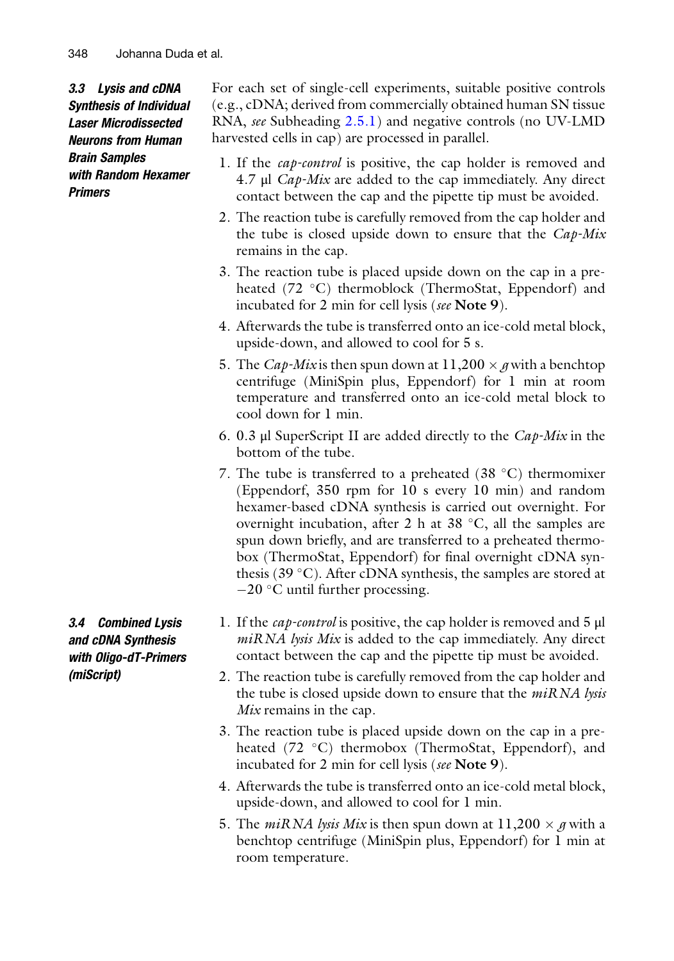<span id="page-13-0"></span>3.3 Lysis and cDNA Synthesis of Individual Laser Microdissected Neurons from Human Brain Samples with Random Hexamer Primers

For each set of single-cell experiments, suitable positive controls (e.g., cDNA; derived from commercially obtained human SN tissue RNA, see Subheading [2.5.1](#page-11-0)) and negative controls (no UV-LMD harvested cells in cap) are processed in parallel.

- 1. If the *cap-control* is positive, the cap holder is removed and 4.7 μl Cap-Mix are added to the cap immediately. Any direct contact between the cap and the pipette tip must be avoided.
- 2. The reaction tube is carefully removed from the cap holder and the tube is closed upside down to ensure that the  $Cap$ -Mix remains in the cap.
- 3. The reaction tube is placed upside down on the cap in a preheated  $(72 \text{ °C})$  thermoblock (ThermoStat, Eppendorf) and incubated for 2 min for cell lysis (see Note 9).
- 4. Afterwards the tube is transferred onto an ice-cold metal block, upside-down, and allowed to cool for 5 s.
- 5. The *Cap-Mix* is then spun down at  $11,200 \times g$  with a benchtop centrifuge (MiniSpin plus, Eppendorf) for 1 min at room temperature and transferred onto an ice-cold metal block to cool down for 1 min.
- 6. 0.3 μl SuperScript II are added directly to the  $Cap-Mix$  in the bottom of the tube.
- 7. The tube is transferred to a preheated  $(38 \text{ °C})$  thermomixer (Eppendorf, 350 rpm for 10 s every 10 min) and random hexamer-based cDNA synthesis is carried out overnight. For overnight incubation, after 2 h at 38  $\degree$ C, all the samples are spun down briefly, and are transferred to a preheated thermobox (ThermoStat, Eppendorf) for final overnight cDNA synthesis (39 $^{\circ}$ C). After cDNA synthesis, the samples are stored at  $-20$  °C until further processing.
- 1. If the cap-control is positive, the cap holder is removed and 5 μl  $miRNA$  lysis Mix is added to the cap immediately. Any direct contact between the cap and the pipette tip must be avoided.
- 2. The reaction tube is carefully removed from the cap holder and the tube is closed upside down to ensure that the  $miRNA$  lysis Mix remains in the cap.
- 3. The reaction tube is placed upside down on the cap in a preheated  $(72 \text{ °C})$  thermobox (ThermoStat, Eppendorf), and incubated for 2 min for cell lysis (see Note 9).
- 4. Afterwards the tube is transferred onto an ice-cold metal block, upside-down, and allowed to cool for 1 min.
- 5. The *miRNA lysis Mix* is then spun down at  $11,200 \times g$  with a benchtop centrifuge (MiniSpin plus, Eppendorf) for 1 min at room temperature.

<span id="page-13-1"></span>3.4 Combined Lysis and cDNA Synthesis with Oligo-dT-Primers (miScript)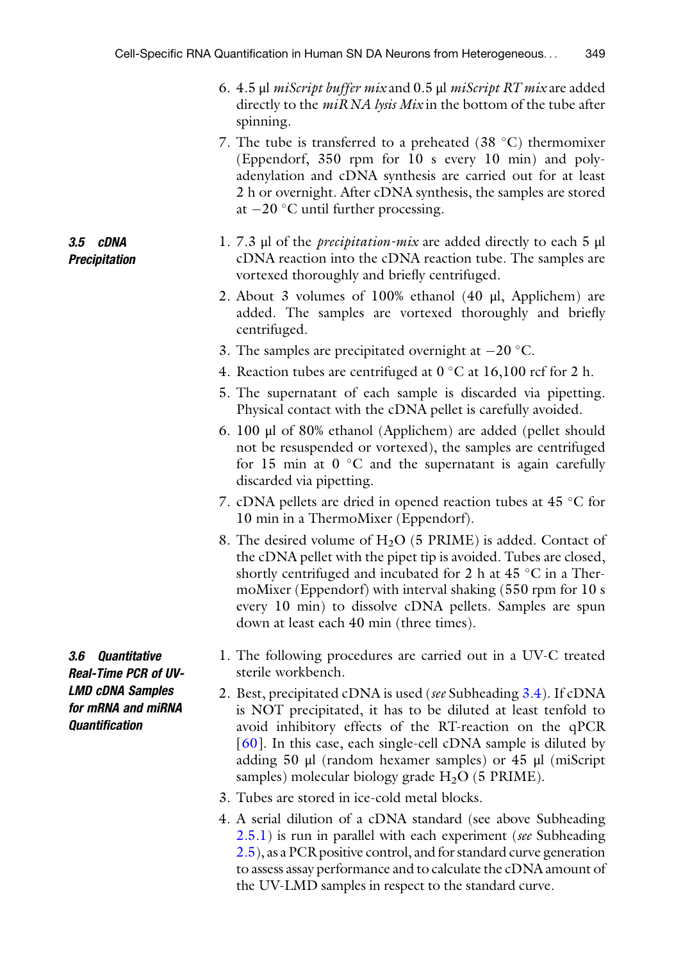- 6. 4.5 μl miScript buffer mix and 0.5 μl miScript RT mix are added directly to the  $m$ *iRNA lysis Mix* in the bottom of the tube after spinning.
- 7. The tube is transferred to a preheated  $(38 \text{ °C})$  thermomixer (Eppendorf, 350 rpm for 10 s every 10 min) and polyadenylation and cDNA synthesis are carried out for at least 2 h or overnight. After cDNA synthesis, the samples are stored at  $-20$  °C until further processing.
- 1. 7.3 μl of the precipitation-mix are added directly to each 5 μl cDNA reaction into the cDNA reaction tube. The samples are vortexed thoroughly and briefly centrifuged.
- 2. About 3 volumes of 100% ethanol (40 μl, Applichem) are added. The samples are vortexed thoroughly and briefly centrifuged.
- 3. The samples are precipitated overnight at  $-20$  °C.
- 4. Reaction tubes are centrifuged at  $0^{\circ}$ C at 16,100 rcf for 2 h.
- 5. The supernatant of each sample is discarded via pipetting. Physical contact with the cDNA pellet is carefully avoided.
- 6. 100 μl of 80% ethanol (Applichem) are added (pellet should not be resuspended or vortexed), the samples are centrifuged for 15 min at  $0^{\circ}$ C and the supernatant is again carefully discarded via pipetting.
- 7. cDNA pellets are dried in opened reaction tubes at  $45 \degree C$  for 10 min in a ThermoMixer (Eppendorf).
- 8. The desired volume of  $H_2O$  (5 PRIME) is added. Contact of the cDNA pellet with the pipet tip is avoided. Tubes are closed, shortly centrifuged and incubated for 2 h at 45  $^{\circ}$ C in a ThermoMixer (Eppendorf) with interval shaking (550 rpm for 10 s every 10 min) to dissolve cDNA pellets. Samples are spun down at least each 40 min (three times).
- 1. The following procedures are carried out in a UV-C treated sterile workbench.
- 2. Best, precipitated cDNA is used (see Subheading [3.4\)](#page-13-1). If cDNA is NOT precipitated, it has to be diluted at least tenfold to avoid inhibitory effects of the RT-reaction on the qPCR [\[60\]](#page-25-3). In this case, each single-cell cDNA sample is diluted by adding 50 μl (random hexamer samples) or 45 μl (miScript samples) molecular biology grade  $H<sub>2</sub>O$  (5 PRIME).
- 3. Tubes are stored in ice-cold metal blocks.
- 4. A serial dilution of a cDNA standard (see above Subheading [2.5.1](#page-11-0)) is run in parallel with each experiment (see Subheading [2.5\)](#page-10-0), as a PCR positive control, and for standard curve generation to assess assay performance and to calculate the cDNA amount of the UV-LMD samples in respect to the standard curve.

3.6 Quantitative Real-Time PCR of UV-LMD cDNA Samples for mRNA and miRNA Quantification

3.5 cDNA Precipitation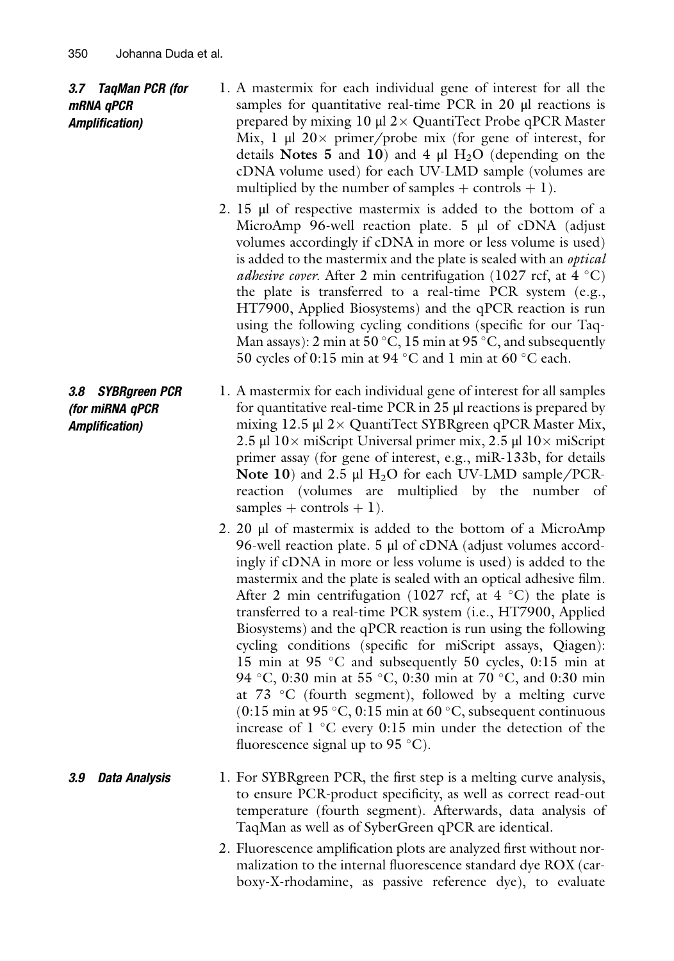#### 3.7 TaqMan PCR (for mRNA qPCR Amplification)

- 1. A mastermix for each individual gene of interest for all the samples for quantitative real-time PCR in 20 μl reactions is prepared by mixing  $10 \mu$ l  $2 \times$  QuantiTect Probe qPCR Master Mix, 1  $\mu$ l 20 x primer/probe mix (for gene of interest, for details Notes 5 and 10) and 4  $\mu$ l H<sub>2</sub>O (depending on the cDNA volume used) for each UV-LMD sample (volumes are multiplied by the number of samples  $+$  controls  $+$  1).
- 2. 15 μl of respective mastermix is added to the bottom of a MicroAmp 96-well reaction plate. 5 μl of cDNA (adjust volumes accordingly if cDNA in more or less volume is used) is added to the mastermix and the plate is sealed with an *optical adhesive cover.* After 2 min centrifugation (1027 rcf, at 4  $^{\circ}$ C) the plate is transferred to a real-time PCR system (e.g., HT7900, Applied Biosystems) and the qPCR reaction is run using the following cycling conditions (specific for our Taq-Man assays): 2 min at 50 °C, 15 min at 95 °C, and subsequently 50 cycles of 0:15 min at 94  $^{\circ}$ C and 1 min at 60  $^{\circ}$ C each.
- 3.8 SYBRgreen PCR (for miRNA qPCR Amplification) 1. A mastermix for each individual gene of interest for all samples for quantitative real-time PCR in 25 μl reactions is prepared by mixing  $12.5 \mu$ l  $2 \times$  QuantiTect SYBRgreen qPCR Master Mix, 2.5 μl  $10 \times$  miScript Universal primer mix, 2.5 μl  $10 \times$  miScript primer assay (for gene of interest, e.g., miR-133b, for details Note 10) and 2.5  $\mu$ l H<sub>2</sub>O for each UV-LMD sample/PCRreaction (volumes are multiplied by the number of samples + controls + 1).
	- 2. 20 μl of mastermix is added to the bottom of a MicroAmp 96-well reaction plate. 5 μl of cDNA (adjust volumes accordingly if cDNA in more or less volume is used) is added to the mastermix and the plate is sealed with an optical adhesive film. After 2 min centrifugation (1027 rcf, at  $4 °C$ ) the plate is transferred to a real-time PCR system (i.e., HT7900, Applied Biosystems) and the qPCR reaction is run using the following cycling conditions (specific for miScript assays, Qiagen): 15 min at 95  $\degree$ C and subsequently 50 cycles, 0:15 min at 94 °C, 0:30 min at 55 °C, 0:30 min at 70 °C, and 0:30 min at 73  $\degree$ C (fourth segment), followed by a melting curve  $(0.15 \text{ min at } 95 \degree \text{C}, 0.15 \text{ min at } 60 \degree \text{C}, \text{subsequent continuous}$ increase of  $1 \degree C$  every 0:15 min under the detection of the fluorescence signal up to 95  $^{\circ}$ C).
- **3.9 Data Analysis** 1. For SYBRgreen PCR, the first step is a melting curve analysis, to ensure PCR-product specificity, as well as correct read-out temperature (fourth segment). Afterwards, data analysis of TaqMan as well as of SyberGreen qPCR are identical.
	- 2. Fluorescence amplification plots are analyzed first without normalization to the internal fluorescence standard dye ROX (carboxy-X-rhodamine, as passive reference dye), to evaluate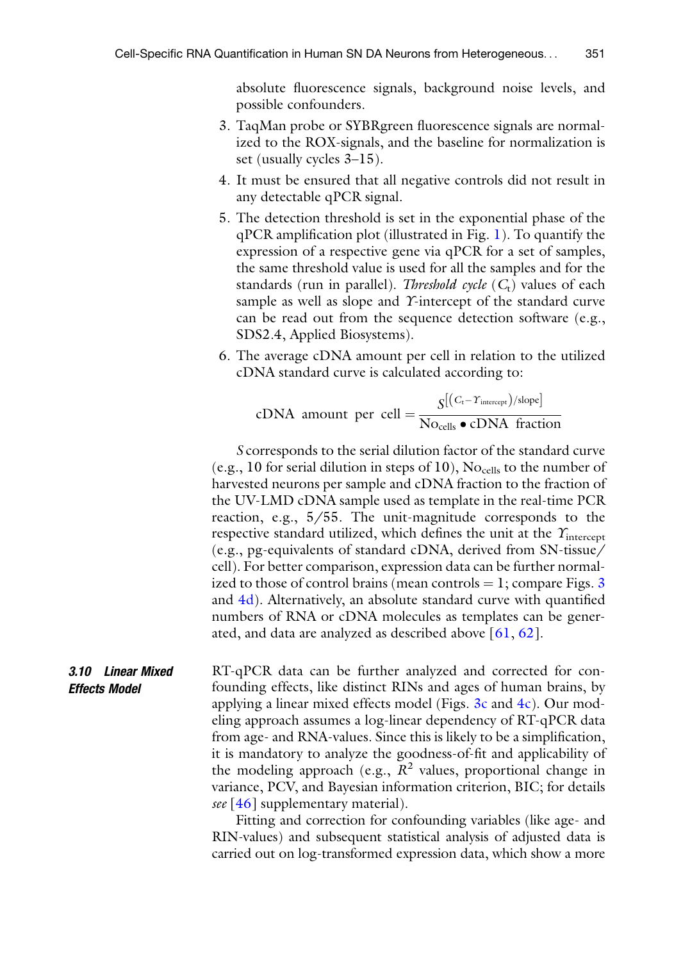absolute fluorescence signals, background noise levels, and possible confounders.

- 3. TaqMan probe or SYBRgreen fluorescence signals are normalized to the ROX-signals, and the baseline for normalization is set (usually cycles 3–15).
- 4. It must be ensured that all negative controls did not result in any detectable qPCR signal.
- 5. The detection threshold is set in the exponential phase of the qPCR amplification plot (illustrated in Fig. [1\)](#page-3-0). To quantify the expression of a respective gene via qPCR for a set of samples, the same threshold value is used for all the samples and for the standards (run in parallel). *Threshold cycle*  $(C_t)$  values of each sample as well as slope and *Y*-intercept of the standard curve can be read out from the sequence detection software (e.g., SDS2.4, Applied Biosystems).
- 6. The average cDNA amount per cell in relation to the utilized cDNA standard curve is calculated according to:

cDNA amount per cell = 
$$
\frac{S[(C_t - \Upsilon_{\text{intercept}})/\text{slope}]}{\text{No}_{\text{cells}} \cdot \text{cDNA fraction}}
$$

S corresponds to the serial dilution factor of the standard curve (e.g., 10 for serial dilution in steps of 10),  $\rm No_{cells}$  to the number of harvested neurons per sample and cDNA fraction to the fraction of the UV-LMD cDNA sample used as template in the real-time PCR reaction, e.g., 5/55. The unit-magnitude corresponds to the respective standard utilized, which defines the unit at the  $\Upsilon$ <sub>intercept</sub> (e.g., pg-equivalents of standard cDNA, derived from SN-tissue/ cell). For better comparison, expression data can be further normalized to those of control brains (mean controls  $= 1$ ; compare Figs. [3](#page-7-0) and [4d](#page-5-0)). Alternatively, an absolute standard curve with quantified numbers of RNA or cDNA molecules as templates can be generated, and data are analyzed as described above  $[61, 62]$  $[61, 62]$  $[61, 62]$  $[61, 62]$  $[61, 62]$ .

3.10 Linear Mixed Effects Model RT-qPCR data can be further analyzed and corrected for confounding effects, like distinct RINs and ages of human brains, by applying a linear mixed effects model (Figs.  $3c$  and  $4c$ ). Our modeling approach assumes a log-linear dependency of RT-qPCR data from age- and RNA-values. Since this is likely to be a simplification, it is mandatory to analyze the goodness-of-fit and applicability of the modeling approach (e.g.,  $R^2$  values, proportional change in variance, PCV, and Bayesian information criterion, BIC; for details see  $[46]$  $[46]$  $[46]$  supplementary material).

> Fitting and correction for confounding variables (like age- and RIN-values) and subsequent statistical analysis of adjusted data is carried out on log-transformed expression data, which show a more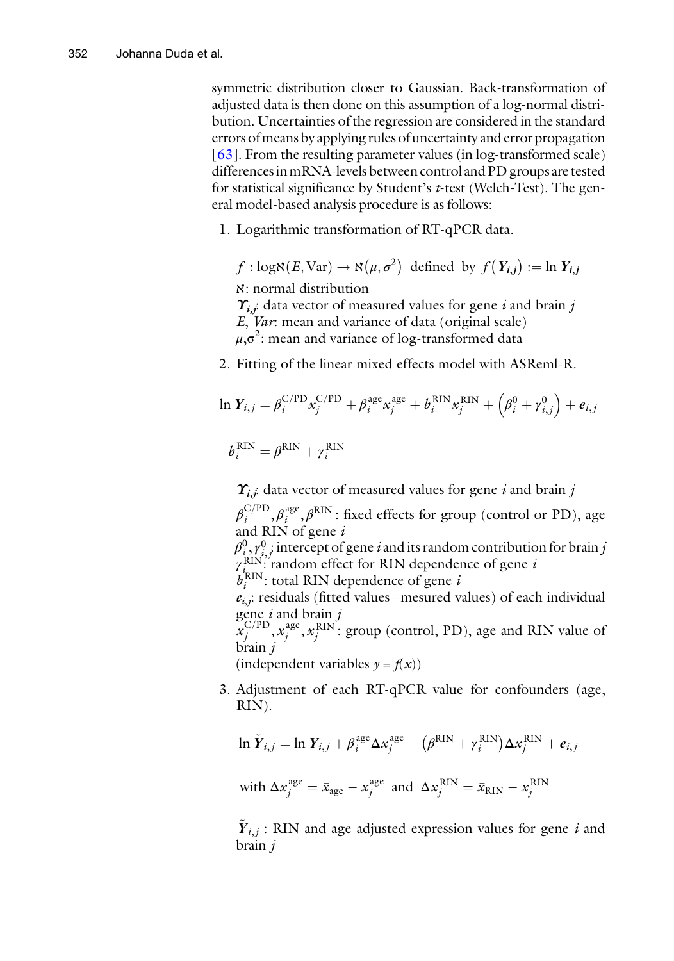symmetric distribution closer to Gaussian. Back-transformation of adjusted data is then done on this assumption of a log-normal distribution. Uncertainties of the regression are considered in the standard errors ofmeans by applying rules of uncertainty and error propagation [ $63$ ]. From the resulting parameter values (in log-transformed scale) differences inmRNA-levels between control and PD groups are tested for statistical significance by Student's t-test (Welch-Test). The general model-based analysis procedure is as follows:

1. Logarithmic transformation of RT-qPCR data.

 $f : \text{logN}(E, \text{Var}) \rightarrow \aleph(\mu, \sigma^2)$  defined by  $f(Y_{i,j}) := \ln Y_{i,j}$ 

ℵ: normal distribution

 $\Upsilon_{i,j}$ : data vector of measured values for gene i and brain j

- E, Var: mean and variance of data (original scale)
- $\mu, \sigma^2$ : mean and variance of log-transformed data
- 2. Fitting of the linear mixed effects model with ASReml-R.

$$
\ln Y_{i,j} = \beta_i^{\text{C/PD}} x_j^{\text{C/PD}} + \beta_i^{\text{age}} x_j^{\text{age}} + b_i^{\text{RIN}} x_j^{\text{RIN}} + \left(\beta_i^0 + \gamma_{i,j}^0\right) + e_{i,j}
$$

$$
b_i^{\rm RIN} = \beta^{\rm RIN} + \gamma_i^{\rm RIN}
$$

 $\gamma_{i,i}$  data vector of measured values for gene i and brain j

 $\beta_i^{\text{C/PD}}, \beta_i^{\text{age}}, \beta^{\text{RIN}}$ : fixed effects for group (control or PD), age and RIN of gene i

 $\beta_{i,\gamma}^0,^0$  intercept of gene  $i$  and its random contribution for brain  $j$  $\gamma_i^{\rm RIN}$  $\therefore$  random effect for RIN dependence of gene  $i$ 

 $b_i^{\text{RIN}}$ : total RIN dependence of gene *i* 

 $e_{i,j}$ : residuals (fitted values–mesured values) of each individual gene  $i$  and brain  $j$ 

 $\mathcal{L}^{C/PD}_j, x_j^{\text{age}}, x_j^{\text{RIN}}$ : group (control, PD), age and RIN value of brain j

(independent variables  $y = f(x)$ )

3. Adjustment of each RT-qPCR value for confounders (age, RIN).

$$
\ln \tilde{Y}_{i,j} = \ln Y_{i,j} + \beta_i^{\text{age}} \Delta x_j^{\text{age}} + (\beta^{\text{RIN}} + \gamma_i^{\text{RIN}}) \Delta x_j^{\text{RIN}} + e_{i,j}
$$

with 
$$
\Delta x_j^{\text{age}} = \bar{x}_{\text{age}} - x_j^{\text{age}}
$$
 and  $\Delta x_j^{\text{RIN}} = \bar{x}_{\text{RIN}} - x_j^{\text{RIN}}$ 

 $Y_{i,j}$ : RIN and age adjusted expression values for gene i and brain j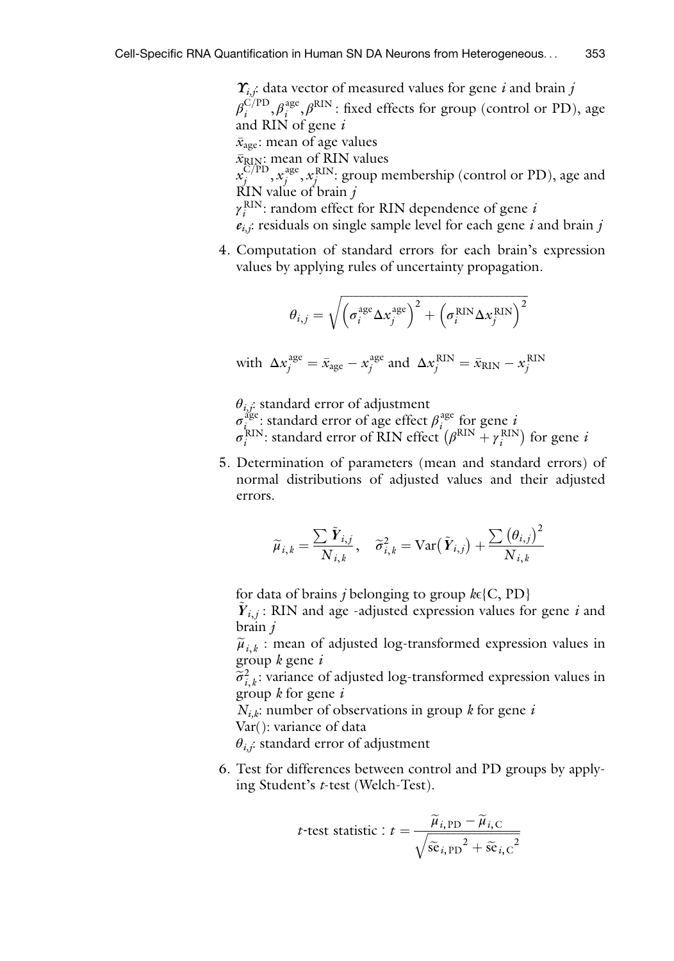$\Upsilon_{i,j}$ : data vector of measured values for gene *i* and brain *j*  $\beta_i^{\text{C/PD}}, \beta_i^{\text{age}}, \beta^{\text{RIN}}$ : fixed effects for group (control or PD), age and RIN of gene i  $\bar{x}_{\text{age}}$ : mean of age values  $\bar{x}_{\text{RIN}}$ : mean of RIN values  $x_j^{\overline{C}/{\rm PD}}, x_j^{\rm age}, x_j^{\rm RIN}$ : group membership (control or PD), age and  $\overrightarrow{K}$ IN value of brain j  $\gamma_i^{\text{RIN}}$ : random effect for RIN dependence of gene *i*  $e_{i,j}$ : residuals on single sample level for each gene i and brain j

4. Computation of standard errors for each brain's expression values by applying rules of uncertainty propagation.

$$
\theta_{i,j} = \sqrt{\left(\sigma_i^{\text{age}} \Delta x_j^{\text{age}}\right)^2 + \left(\sigma_i^{\text{RIN}} \Delta x_j^{\text{RIN}}\right)^2}
$$

with 
$$
\Delta x_j^{\text{age}} = \bar{x}_{\text{age}} - x_j^{\text{age}}
$$
 and  $\Delta x_j^{\text{RIN}} = \bar{x}_{\text{RIN}} - x_j^{\text{RIN}}$ 

 $\theta_{i,j}$ : standard error of adjustment

 $\sigma_{i_{\text{max}}}^{\text{age}}$ : standard error of age effect  $\beta_i^{\text{age}}$  for gene is

 $\sigma_i^{\text{RIN}}$ : standard error of RIN effect  $(\beta^{\text{RIN}} + \gamma_i^{\text{RIN}})$  for gene *i* 

5. Determination of parameters (mean and standard errors) of normal distributions of adjusted values and their adjusted errors.

$$
\widetilde{\mu}_{i,k} = \frac{\sum \widetilde{\boldsymbol{Y}}_{i,j}}{N_{i,k}}, \quad \widetilde{\sigma}_{i,k}^2 = \text{Var}\big(\widetilde{\boldsymbol{Y}}_{i,j}\big) + \frac{\sum \big(\theta_{i,j}\big)^2}{N_{i,k}}
$$

for data of brains *j* belonging to group  $k \in \{C, PD\}$  $Y_{i,j}$ : RIN and age -adjusted expression values for gene i and brain j

 $\widetilde{\mu}_{i,k}$  : mean of adjusted log-transformed expression values in group  $k$  gene  $i$ 

 $\widetilde{\sigma}_{i,k}^2$ : variance of adjusted log-transformed expression values in group k for gene i group  $k$  for gene  $i$ 

 $N_{i,k}$ : number of observations in group k for gene i

Var(): variance of data

 $\theta_{i,j}$ : standard error of adjustment

6. Test for differences between control and PD groups by applying Student's t-test (Welch-Test).

$$
t\text{-test statistic}: t = \frac{\widetilde{\mu}_{i, \text{PD}} - \widetilde{\mu}_{i, \text{C}}}{\sqrt{\widetilde{\text{se}}_{i, \text{PD}}^2 + \widetilde{\text{se}}_{i, \text{C}}^2}}
$$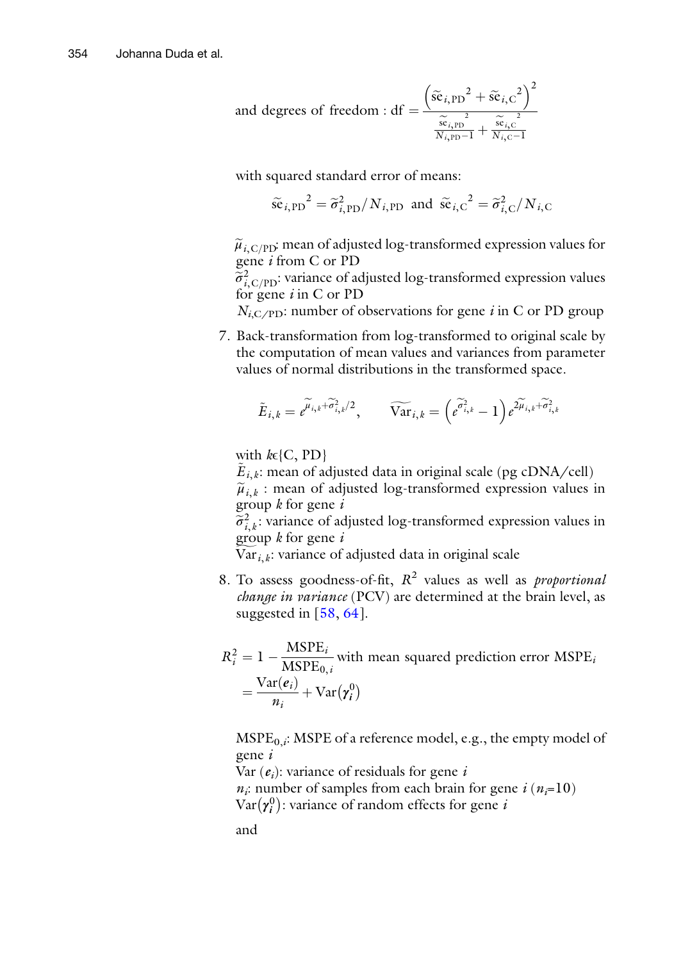and degrees of freedom : df = 
$$
\frac{\left(\tilde{\text{se}}_{i, \text{PD}}^2 + \tilde{\text{se}}_{i, \text{C}}^2\right)^2}{\frac{\tilde{\text{se}}_{i, \text{PD}}^2}{N_{i, \text{PD}} - 1} + \frac{\tilde{\text{se}}_{i, \text{C}}^2}{N_{i, \text{C}} - 1}}
$$

with squared standard error of means:

$$
\tilde{\text{se}}_{i,\text{PD}}^2 = \tilde{\sigma}_{i,\text{PD}}^2 / N_{i,\text{PD}} \text{ and } \tilde{\text{se}}_{i,\text{C}}^2 = \tilde{\sigma}_{i,\text{C}}^2 / N_{i,\text{C}}
$$

 $\tilde{\mu}_{i\text{ C/PD}}$ : mean of adjusted log-transformed expression values for gene i from C or PD

 $\widetilde{\sigma}_{i,\text{C/PD}}^2$ : variance of adjusted log-transformed expression values<br>for gene i in C or PD for gene  $i$  in C or PD

 $N_{i,C/PD}$ : number of observations for gene *i* in C or PD group

7. Back-transformation from log-transformed to original scale by the computation of mean values and variances from parameter values of normal distributions in the transformed space.

$$
\tilde{E}_{i,k} = e^{\widetilde{\mu}_{i,k} + \widetilde{\sigma}_{i,k}^2/2}, \qquad \widetilde{\text{Var}}_{i,k} = \left(\widetilde{e^{\widetilde{\sigma}_{i,k}^2}} - 1\right) e^{2\widetilde{\mu}_{i,k} + \widetilde{\sigma}_{i,k}^2}
$$

with  $k \in \{C, PD\}$ 

 $E_{i,k}$ : mean of adjusted data in original scale (pg cDNA/cell)

 $\tilde{\mu}_{i,k}$  : mean of adjusted log-transformed expression values in group  $k$  for gene  $i$ 

 $\widetilde{\sigma}_{i,k}^2$ : variance of adjusted log-transformed expression values in group k for gene i group  $k$  for gene  $i$ 

 $Var_{i,k}$ : variance of adjusted data in original scale

8. To assess goodness-of-fit,  $R^2$  values as well as *proportional* change in variance (PCV) are determined at the brain level, as suggested in [[58](#page-25-1), [64\]](#page-25-7).

$$
R_i^2 = 1 - \frac{\text{MSPE}_i}{\text{MSPE}_{0,i}} \text{ with mean squared prediction error MSPE}_i
$$

$$
= \frac{\text{Var}(e_i)}{n_i} + \text{Var}(\gamma_i^0)
$$

 $MSPE_{0,i}$ : MSPE of a reference model, e.g., the empty model of gene i

Var  $(e_i)$ : variance of residuals for gene i

 $n_i$ : number of samples from each brain for gene  $i (n_i=10)$ 

Var $(\pmb{\gamma_i^0})$ : variance of random effects for gene *i* 

and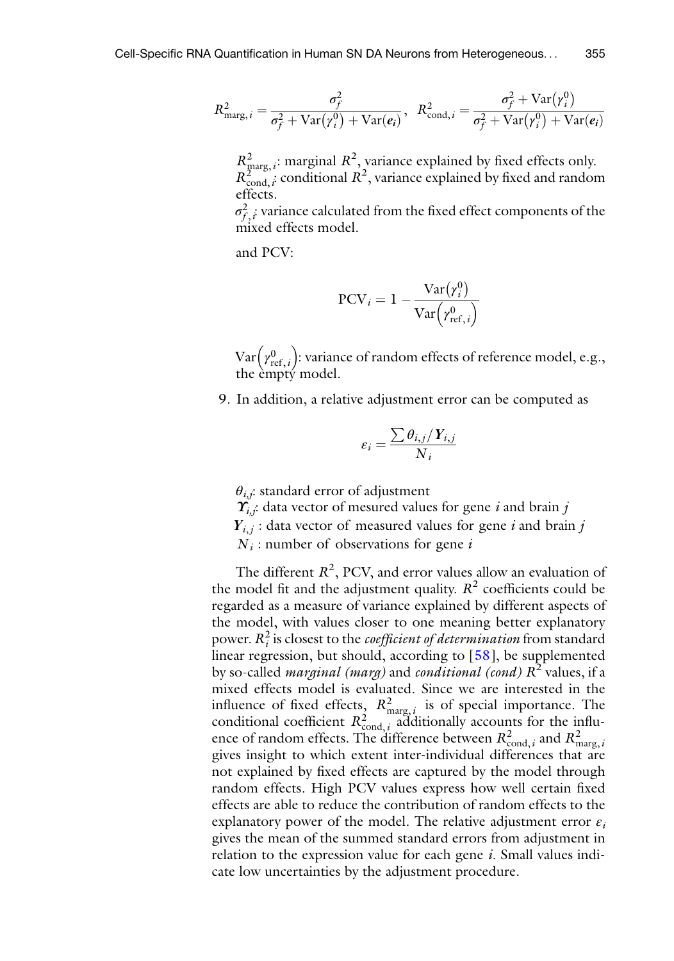$$
R_{\text{marg},i}^2 = \frac{\sigma_f^2}{\sigma_f^2 + \text{Var}(\gamma_i^0) + \text{Var}(e_i)}, \ \ R_{\text{cond},i}^2 = \frac{\sigma_f^2 + \text{Var}(\gamma_i^0)}{\sigma_f^2 + \text{Var}(\gamma_i^0) + \text{Var}(e_i)}
$$

 $R_{\text{marg},i}^2$ : marginal  $R^2$ , variance explained by fixed effects only.  $R_{\text{cond},i}^{\text{2m}}$  conditional  $R^2$ , variance explained by fixed and random effects.

 $\sigma_{f,\,i}^2$  variance calculated from the fixed effect components of the mixed effects model.

and PCV:

$$
PCV_i = 1 - \frac{Var(r_i^0)}{Var(r_{ref,i}^0)}
$$

 $\text{Var}\!\left(\gamma_{{\text{ref}},\,i}^0\right)$ : variance of random effects of reference model, e.g., the empty model.

9. In addition, a relative adjustment error can be computed as

$$
\varepsilon_i = \frac{\sum \theta_{i,j} / Y_{i,j}}{N_i}
$$

 $\theta_{i,j}$ : standard error of adjustment

 $\Upsilon_{i,j}$ : data vector of mesured values for gene *i* and brain *j* 

- $Y_{i,j}$ : data vector of measured values for gene i and brain j
- $N_i$ : number of observations for gene i

The different  $R^2$ , PCV, and error values allow an evaluation of the model fit and the adjustment quality.  $R^2$  coefficients could be regarded as a measure of variance explained by different aspects of the model, with values closer to one meaning better explanatory power.  $R_i^2$  is closest to the *coefficient of determination* from standard linear regression, but should, according to [[58](#page-25-1)], be supplemented by so-called *marginal (marg)* and *conditional (cond)*  $R^2$  values, if a mixed effects model is evaluated. Since we are interested in the influence of fixed effects,  $R_{\text{marg},i}^2$  is of special importance. The conditional coefficient  $R_{\text{cond},i}^2$  additionally accounts for the influence of random effects. The difference between  $R_{\text{cond},i}^2$  and  $R_{\text{marg},i}^2$ gives insight to which extent inter-individual differences that are not explained by fixed effects are captured by the model through random effects. High PCV values express how well certain fixed effects are able to reduce the contribution of random effects to the explanatory power of the model. The relative adjustment error  $\varepsilon_i$ gives the mean of the summed standard errors from adjustment in relation to the expression value for each gene  $i$ . Small values indicate low uncertainties by the adjustment procedure.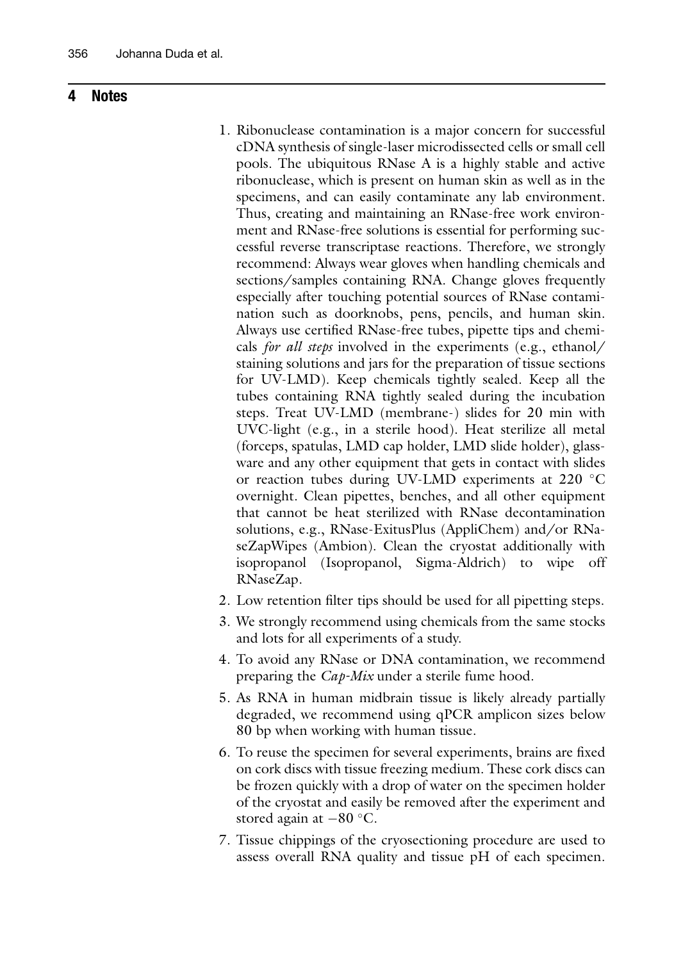#### 4 Notes

- 1. Ribonuclease contamination is a major concern for successful cDNA synthesis of single-laser microdissected cells or small cell pools. The ubiquitous RNase A is a highly stable and active ribonuclease, which is present on human skin as well as in the specimens, and can easily contaminate any lab environment. Thus, creating and maintaining an RNase-free work environment and RNase-free solutions is essential for performing successful reverse transcriptase reactions. Therefore, we strongly recommend: Always wear gloves when handling chemicals and sections/samples containing RNA. Change gloves frequently especially after touching potential sources of RNase contamination such as doorknobs, pens, pencils, and human skin. Always use certified RNase-free tubes, pipette tips and chemicals for all steps involved in the experiments (e.g., ethanol/ staining solutions and jars for the preparation of tissue sections for UV-LMD). Keep chemicals tightly sealed. Keep all the tubes containing RNA tightly sealed during the incubation steps. Treat UV-LMD (membrane-) slides for 20 min with UVC-light (e.g., in a sterile hood). Heat sterilize all metal (forceps, spatulas, LMD cap holder, LMD slide holder), glassware and any other equipment that gets in contact with slides or reaction tubes during UV-LMD experiments at 220 °C overnight. Clean pipettes, benches, and all other equipment that cannot be heat sterilized with RNase decontamination solutions, e.g., RNase-ExitusPlus (AppliChem) and/or RNaseZapWipes (Ambion). Clean the cryostat additionally with isopropanol (Isopropanol, Sigma-Aldrich) to wipe off RNaseZap.
- 2. Low retention filter tips should be used for all pipetting steps.
- 3. We strongly recommend using chemicals from the same stocks and lots for all experiments of a study.
- 4. To avoid any RNase or DNA contamination, we recommend preparing the Cap-Mix under a sterile fume hood.
- 5. As RNA in human midbrain tissue is likely already partially degraded, we recommend using qPCR amplicon sizes below 80 bp when working with human tissue.
- 6. To reuse the specimen for several experiments, brains are fixed on cork discs with tissue freezing medium. These cork discs can be frozen quickly with a drop of water on the specimen holder of the cryostat and easily be removed after the experiment and stored again at  $-80$  °C.
- 7. Tissue chippings of the cryosectioning procedure are used to assess overall RNA quality and tissue pH of each specimen.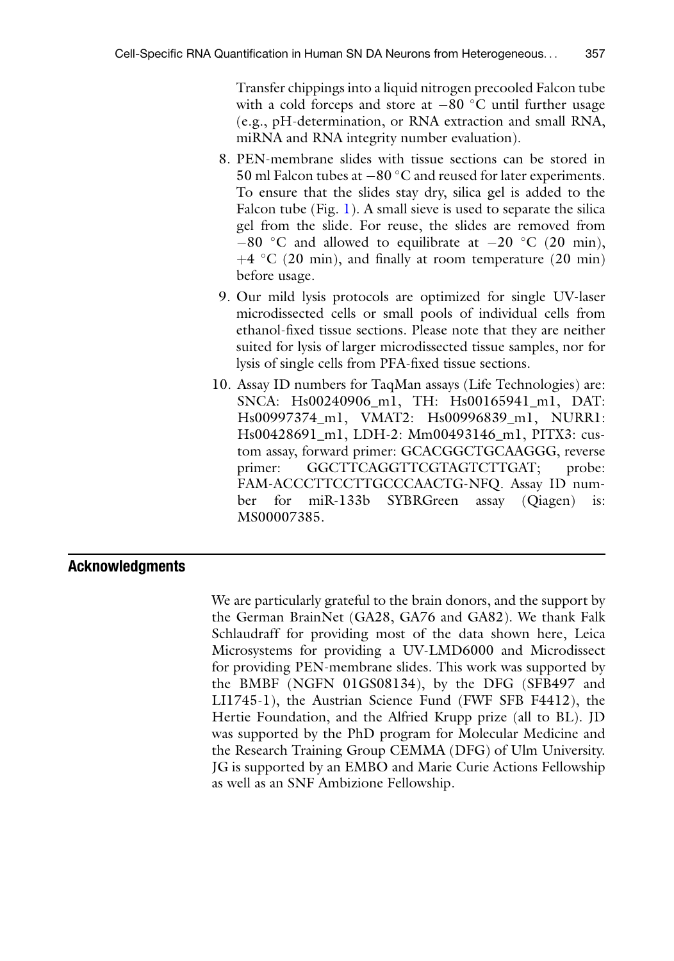Transfer chippings into a liquid nitrogen precooled Falcon tube with a cold forceps and store at  $-80$  °C until further usage (e.g., pH-determination, or RNA extraction and small RNA, miRNA and RNA integrity number evaluation).

- 8. PEN-membrane slides with tissue sections can be stored in  $50$  ml Falcon tubes at  $-80$  °C and reused for later experiments. To ensure that the slides stay dry, silica gel is added to the Falcon tube (Fig. [1\)](#page-3-0). A small sieve is used to separate the silica gel from the slide. For reuse, the slides are removed from  $-80$  °C and allowed to equilibrate at  $-20$  °C (20 min),  $+4$  °C (20 min), and finally at room temperature (20 min) before usage.
- 9. Our mild lysis protocols are optimized for single UV-laser microdissected cells or small pools of individual cells from ethanol-fixed tissue sections. Please note that they are neither suited for lysis of larger microdissected tissue samples, nor for lysis of single cells from PFA-fixed tissue sections.
- 10. Assay ID numbers for TaqMan assays (Life Technologies) are: SNCA: Hs00240906\_m1, TH: Hs00165941\_m1, DAT: Hs00997374\_m1, VMAT2: Hs00996839\_m1, NURR1: Hs00428691\_m1, LDH-2: Mm00493146\_m1, PITX3: custom assay, forward primer: GCACGGCTGCAAGGG, reverse primer: GGCTTCAGGTTCGTAGTCTTGAT; probe: FAM-ACCCTTCCTTGCCCAACTG-NFQ. Assay ID number for miR-133b SYBRGreen assay (Qiagen) is: MS00007385.

#### Acknowledgments

We are particularly grateful to the brain donors, and the support by the German BrainNet (GA28, GA76 and GA82). We thank Falk Schlaudraff for providing most of the data shown here, Leica Microsystems for providing a UV-LMD6000 and Microdissect for providing PEN-membrane slides. This work was supported by the BMBF (NGFN 01GS08134), by the DFG (SFB497 and LI1745-1), the Austrian Science Fund (FWF SFB F4412), the Hertie Foundation, and the Alfried Krupp prize (all to BL). JD was supported by the PhD program for Molecular Medicine and the Research Training Group CEMMA (DFG) of Ulm University. JG is supported by an EMBO and Marie Curie Actions Fellowship as well as an SNF Ambizione Fellowship.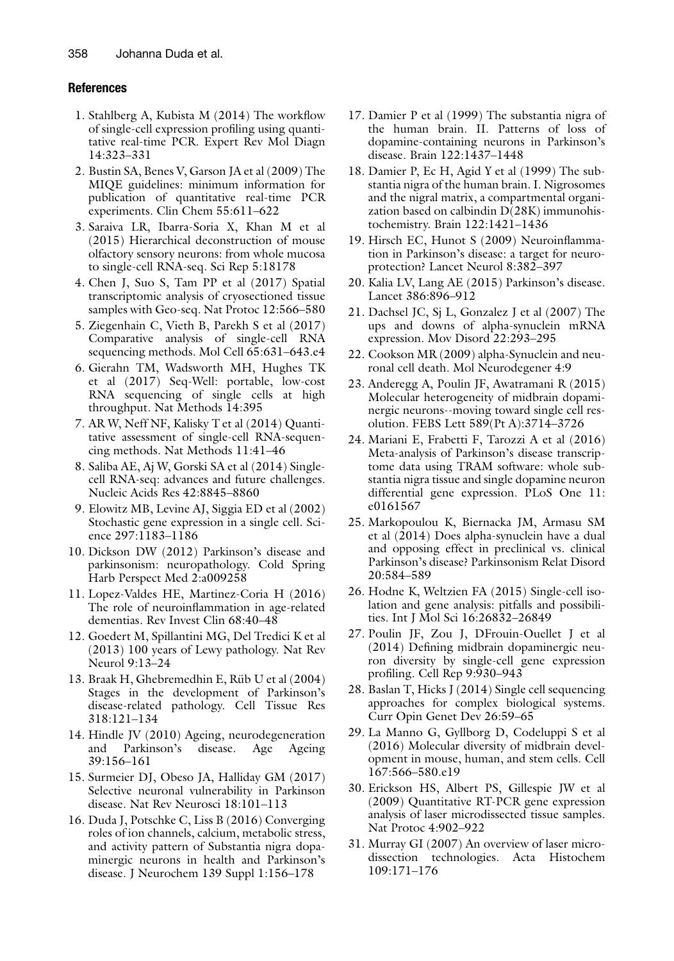#### <span id="page-23-0"></span>References

- 1. Stahlberg A, Kubista M (2014) The workflow of single-cell expression profiling using quantitative real-time PCR. Expert Rev Mol Diagn 14:323–331
- <span id="page-23-1"></span>2. Bustin SA, Benes V, Garson JA et al (2009) The MIQE guidelines: minimum information for publication of quantitative real-time PCR experiments. Clin Chem 55:611–622
- <span id="page-23-10"></span><span id="page-23-2"></span>3. Saraiva LR, Ibarra-Soria X, Khan M et al (2015) Hierarchical deconstruction of mouse olfactory sensory neurons: from whole mucosa to single-cell RNA-seq. Sci Rep 5:18178
- <span id="page-23-11"></span>4. Chen J, Suo S, Tam PP et al (2017) Spatial transcriptomic analysis of cryosectioned tissue samples with Geo-seq. Nat Protoc 12:566–580
- <span id="page-23-12"></span>5. Ziegenhain C, Vieth B, Parekh S et al (2017) Comparative analysis of single-cell RNA sequencing methods. Mol Cell 65:631–643.e4
- <span id="page-23-13"></span>6. Gierahn TM, Wadsworth MH, Hughes TK et al (2017) Seq-Well: portable, low-cost RNA sequencing of single cells at high throughput. Nat Methods 14:395
- <span id="page-23-3"></span>7. AR W, Neff NF, Kalisky T et al (2014) Quantitative assessment of single-cell RNA-sequencing methods. Nat Methods 11:41–46
- <span id="page-23-4"></span>8. Saliba AE, Aj W, Gorski SA et al (2014) Singlecell RNA-seq: advances and future challenges. Nucleic Acids Res 42:8845–8860
- <span id="page-23-14"></span><span id="page-23-5"></span>9. Elowitz MB, Levine AJ, Siggia ED et al (2002) Stochastic gene expression in a single cell. Science 297:1183–1186
- <span id="page-23-6"></span>10. Dickson DW (2012) Parkinson's disease and parkinsonism: neuropathology. Cold Spring Harb Perspect Med 2:a009258
- <span id="page-23-15"></span>11. Lopez-Valdes HE, Martinez-Coria H (2016) The role of neuroinflammation in age-related dementias. Rev Invest Clin 68:40–48
- <span id="page-23-16"></span><span id="page-23-7"></span>12. Goedert M, Spillantini MG, Del Tredici K et al (2013) 100 years of Lewy pathology. Nat Rev Neurol 9:13–24
- <span id="page-23-17"></span><span id="page-23-8"></span>13. Braak H, Ghebremedhin E, Rüb U et al (2004) Stages in the development of Parkinson's disease-related pathology. Cell Tissue Res 318:121–134
- <span id="page-23-18"></span>14. Hindle JV (2010) Ageing, neurodegeneration and Parkinson's disease. Age Ageing 39:156–161
- <span id="page-23-19"></span>15. Surmeier DJ, Obeso JA, Halliday GM (2017) Selective neuronal vulnerability in Parkinson disease. Nat Rev Neurosci 18:101–113
- <span id="page-23-9"></span>16. Duda J, Potschke C, Liss B (2016) Converging roles of ion channels, calcium, metabolic stress, and activity pattern of Substantia nigra dopaminergic neurons in health and Parkinson's disease. J Neurochem 139 Suppl 1:156–178
- 17. Damier P et al (1999) The substantia nigra of the human brain. II. Patterns of loss of dopamine-containing neurons in Parkinson's disease. Brain 122:1437–1448
- 18. Damier P, Ec H, Agid Y et al (1999) The substantia nigra of the human brain. I. Nigrosomes and the nigral matrix, a compartmental organization based on calbindin D(28K) immunohistochemistry. Brain 122:1421–1436
- 19. Hirsch EC, Hunot S (2009) Neuroinflammation in Parkinson's disease: a target for neuroprotection? Lancet Neurol 8:382–397
- 20. Kalia LV, Lang AE (2015) Parkinson's disease. Lancet 386:896–912
- 21. Dachsel JC, Sj L, Gonzalez J et al (2007) The ups and downs of alpha-synuclein mRNA expression. Mov Disord 22:293–295
- 22. Cookson MR (2009) alpha-Synuclein and neuronal cell death. Mol Neurodegener 4:9
- 23. Anderegg A, Poulin JF, Awatramani R (2015) Molecular heterogeneity of midbrain dopaminergic neurons--moving toward single cell resolution. FEBS Lett 589(Pt A):3714–3726
- 24. Mariani E, Frabetti F, Tarozzi A et al (2016) Meta-analysis of Parkinson's disease transcriptome data using TRAM software: whole substantia nigra tissue and single dopamine neuron differential gene expression. PLoS One 11: e0161567
- 25. Markopoulou K, Biernacka JM, Armasu SM et al (2014) Does alpha-synuclein have a dual and opposing effect in preclinical vs. clinical Parkinson's disease? Parkinsonism Relat Disord 20:584–589
- 26. Hodne K, Weltzien FA (2015) Single-cell isolation and gene analysis: pitfalls and possibilities. Int J Mol Sci 16:26832–26849
- 27. Poulin JF, Zou J, DFrouin-Ouellet J et al (2014) Defining midbrain dopaminergic neuron diversity by single-cell gene expression profiling. Cell Rep 9:930–943
- 28. Baslan T, Hicks J (2014) Single cell sequencing approaches for complex biological systems. Curr Opin Genet Dev 26:59–65
- 29. La Manno G, Gyllborg D, Codeluppi S et al (2016) Molecular diversity of midbrain development in mouse, human, and stem cells. Cell 167:566–580.e19
- 30. Erickson HS, Albert PS, Gillespie JW et al (2009) Quantitative RT-PCR gene expression analysis of laser microdissected tissue samples. Nat Protoc 4:902–922
- 31. Murray GI (2007) An overview of laser microdissection technologies. Acta Histochem 109:171–176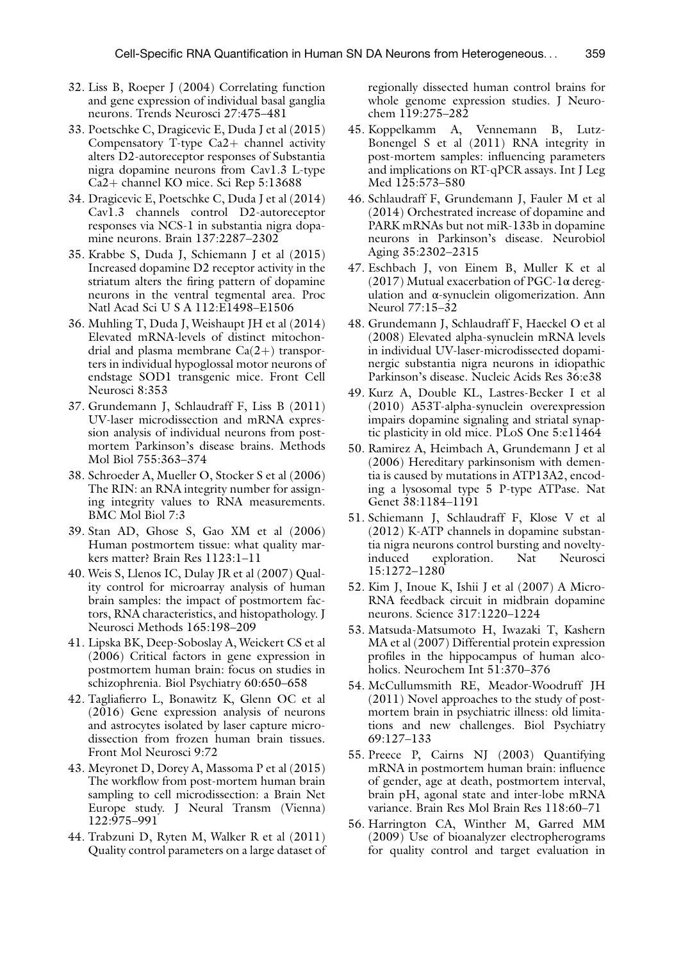- 32. Liss B, Roeper J (2004) Correlating function and gene expression of individual basal ganglia neurons. Trends Neurosci 27:475–481
- <span id="page-24-3"></span>33. Poetschke C, Dragicevic E, Duda J et al (2015) Compensatory T-type  $Ca2+$  channel activity alters D2-autoreceptor responses of Substantia nigra dopamine neurons from Cav1.3 L-type Ca2+ channel KO mice. Sci Rep 5:13688
- <span id="page-24-4"></span>34. Dragicevic E, Poetschke C, Duda J et al (2014) Cav1.3 channels control D2-autoreceptor responses via NCS-1 in substantia nigra dopamine neurons. Brain 137:2287–2302
- 35. Krabbe S, Duda J, Schiemann J et al (2015) Increased dopamine D2 receptor activity in the striatum alters the firing pattern of dopamine neurons in the ventral tegmental area. Proc Natl Acad Sci U S A 112:E1498–E1506
- <span id="page-24-11"></span>36. Muhling T, Duda J, Weishaupt JH et al (2014) Elevated mRNA-levels of distinct mitochondrial and plasma membrane  $Ca(2+)$  transporters in individual hypoglossal motor neurons of endstage SOD1 transgenic mice. Front Cell Neurosci 8:353
- <span id="page-24-0"></span>37. Grundemann J, Schlaudraff F, Liss B (2011) UV-laser microdissection and mRNA expression analysis of individual neurons from postmortem Parkinson's disease brains. Methods Mol Biol 755:363–374
- <span id="page-24-1"></span>38. Schroeder A, Mueller O, Stocker S et al (2006) The RIN: an RNA integrity number for assigning integrity values to RNA measurements. BMC Mol Biol 7:3
- <span id="page-24-5"></span><span id="page-24-2"></span>39. Stan AD, Ghose S, Gao XM et al (2006) Human postmortem tissue: what quality markers matter? Brain Res 1123:1–11
- <span id="page-24-6"></span>40. Weis S, Llenos IC, Dulay JR et al (2007) Quality control for microarray analysis of human brain samples: the impact of postmortem factors, RNA characteristics, and histopathology. J Neurosci Methods 165:198–209
- <span id="page-24-9"></span><span id="page-24-7"></span>41. Lipska BK, Deep-Soboslay A, Weickert CS et al (2006) Critical factors in gene expression in postmortem human brain: focus on studies in schizophrenia. Biol Psychiatry 60:650–658
- 42. Tagliafierro L, Bonawitz K, Glenn OC et al (2016) Gene expression analysis of neurons and astrocytes isolated by laser capture microdissection from frozen human brain tissues. Front Mol Neurosci 9:72
- <span id="page-24-8"></span>43. Meyronet D, Dorey A, Massoma P et al (2015) The workflow from post-mortem human brain sampling to cell microdissection: a Brain Net Europe study. J Neural Transm (Vienna) 122:975–991
- <span id="page-24-10"></span>44. Trabzuni D, Ryten M, Walker R et al (2011) Quality control parameters on a large dataset of

regionally dissected human control brains for whole genome expression studies. J Neurochem 119:275–282

- 45. Koppelkamm A, Vennemann B, Lutz-Bonengel S et al (2011) RNA integrity in post-mortem samples: influencing parameters and implications on RT-qPCR assays. Int J Leg Med 125:573–580
- 46. Schlaudraff F, Grundemann J, Fauler M et al (2014) Orchestrated increase of dopamine and PARK mRNAs but not miR-133b in dopamine neurons in Parkinson's disease. Neurobiol Aging 35:2302–2315
- 47. Eschbach J, von Einem B, Muller K et al (2017) Mutual exacerbation of PGC-1α deregulation and α-synuclein oligomerization. Ann Neurol 77:15–32
- 48. Grundemann J, Schlaudraff F, Haeckel O et al (2008) Elevated alpha-synuclein mRNA levels in individual UV-laser-microdissected dopaminergic substantia nigra neurons in idiopathic Parkinson's disease. Nucleic Acids Res 36:e38
- 49. Kurz A, Double KL, Lastres-Becker I et al (2010) A53T-alpha-synuclein overexpression impairs dopamine signaling and striatal synaptic plasticity in old mice. PLoS One 5:e11464
- 50. Ramirez A, Heimbach A, Grundemann J et al (2006) Hereditary parkinsonism with dementia is caused by mutations in ATP13A2, encoding a lysosomal type 5 P-type ATPase. Nat Genet 38:1184–1191
- 51. Schiemann J, Schlaudraff F, Klose V et al (2012) K-ATP channels in dopamine substantia nigra neurons control bursting and novelty-<br>induced exploration. Nat Neurosci exploration. 15:1272–1280
- 52. Kim J, Inoue K, Ishii J et al (2007) A Micro-RNA feedback circuit in midbrain dopamine neurons. Science 317:1220–1224
- 53. Matsuda-Matsumoto H, Iwazaki T, Kashern MA et al (2007) Differential protein expression profiles in the hippocampus of human alcoholics. Neurochem Int 51:370–376
- 54. McCullumsmith RE, Meador-Woodruff JH (2011) Novel approaches to the study of postmortem brain in psychiatric illness: old limitations and new challenges. Biol Psychiatry 69:127–133
- 55. Preece P, Cairns NJ (2003) Quantifying mRNA in postmortem human brain: influence of gender, age at death, postmortem interval, brain pH, agonal state and inter-lobe mRNA variance. Brain Res Mol Brain Res 118:60–71
- 56. Harrington CA, Winther M, Garred MM (2009) Use of bioanalyzer electropherograms for quality control and target evaluation in